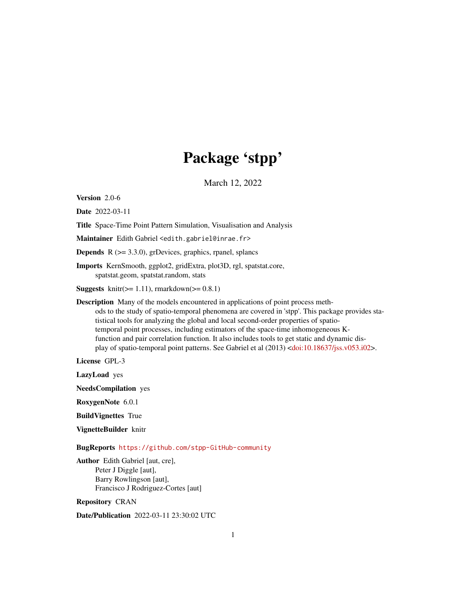## Package 'stpp'

March 12, 2022

<span id="page-0-0"></span>Version 2.0-6

Date 2022-03-11

Title Space-Time Point Pattern Simulation, Visualisation and Analysis

Maintainer Edith Gabriel <edith.gabriel@inrae.fr>

**Depends**  $R$  ( $>= 3.3.0$ ), grDevices, graphics, rpanel, splancs

Imports KernSmooth, ggplot2, gridExtra, plot3D, rgl, spatstat.core, spatstat.geom, spatstat.random, stats

**Suggests** knitr( $>= 1.11$ ), rmarkdown( $>= 0.8.1$ )

Description Many of the models encountered in applications of point process methods to the study of spatio-temporal phenomena are covered in 'stpp'. This package provides statistical tools for analyzing the global and local second-order properties of spatiotemporal point processes, including estimators of the space-time inhomogeneous Kfunction and pair correlation function. It also includes tools to get static and dynamic display of spatio-temporal point patterns. See Gabriel et al (2013) [<doi:10.18637/jss.v053.i02>](https://doi.org/10.18637/jss.v053.i02).

License GPL-3

LazyLoad yes

NeedsCompilation yes

RoxygenNote 6.0.1

BuildVignettes True

VignetteBuilder knitr

BugReports <https://github.com/stpp-GitHub-community>

Author Edith Gabriel [aut, cre], Peter J Diggle [aut], Barry Rowlingson [aut], Francisco J Rodriguez-Cortes [aut]

Repository CRAN

Date/Publication 2022-03-11 23:30:02 UTC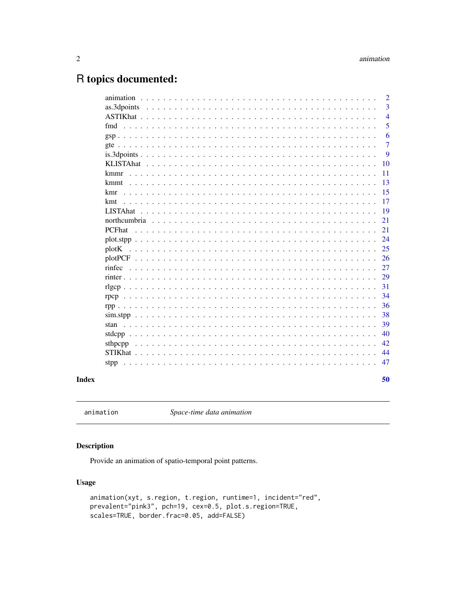## <span id="page-1-0"></span>R topics documented:

|                 | 50                          |
|-----------------|-----------------------------|
|                 |                             |
| stpp            | 47                          |
|                 | 44                          |
| sthpcpp         | 42                          |
|                 | 40                          |
|                 | 39                          |
|                 | 38                          |
|                 | 36                          |
|                 | 34                          |
|                 | 31                          |
|                 | 29                          |
|                 | 26<br>27                    |
| plotK           | 25                          |
|                 |                             |
|                 | 24                          |
| <b>PCFhat</b>   | 21                          |
| <b>LISTAhat</b> | 19<br>21                    |
| kmt             |                             |
| kmr             | 15<br>17                    |
| kmmt            | 13                          |
| kmmr            | 11                          |
|                 | 10                          |
|                 | 9                           |
|                 | $\overline{7}$              |
|                 | 6                           |
| fmd             | 5                           |
|                 | $\overline{4}$              |
| as.3dpoints     | 3                           |
| animation       | $\mathcal{D}_{\mathcal{L}}$ |

### **Index**

<span id="page-1-1"></span>animation

Space-time data animation

### **Description**

Provide an animation of spatio-temporal point patterns.

### **Usage**

```
animation(xyt, s.region, t.region, runtime=1, incident="red",
prevalent="pink3", pch=19, cex=0.5, plot.s.region=TRUE,
scales=TRUE, border.frac=0.05, add=FALSE)
```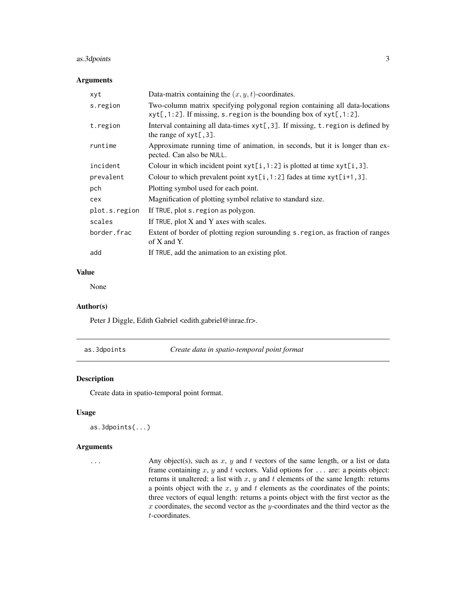### <span id="page-2-0"></span>as.3dpoints 3

### Arguments

| xyt           | Data-matrix containing the $(x, y, t)$ -coordinates.                                                                                              |
|---------------|---------------------------------------------------------------------------------------------------------------------------------------------------|
| s.region      | Two-column matrix specifying polygonal region containing all data-locations<br>xyt[,1:2]. If missing, s. region is the bounding box of xyt[,1:2]. |
| t.region      | Interval containing all data-times xyt[,3]. If missing, t. region is defined by<br>the range of $xyt[, 3].$                                       |
| runtime       | Approximate running time of animation, in seconds, but it is longer than ex-<br>pected. Can also be NULL.                                         |
| incident      | Colour in which incident point $xyt[i, 1:2]$ is plotted at time $xyt[i, 3]$ .                                                                     |
| prevalent     | Colour to which prevalent point $xyt[i, 1:2]$ fades at time $xyt[i+1, 3]$ .                                                                       |
| pch           | Plotting symbol used for each point.                                                                                                              |
| cex           | Magnification of plotting symbol relative to standard size.                                                                                       |
| plot.s.region | If TRUE, plot s. region as polygon.                                                                                                               |
| scales        | If TRUE, plot X and Y axes with scales.                                                                                                           |
| border.frac   | Extent of border of plotting region surounding s. region, as fraction of ranges<br>of $X$ and $Y$ .                                               |
| add           | If TRUE, add the animation to an existing plot.                                                                                                   |

### Value

None

### Author(s)

Peter J Diggle, Edith Gabriel <edith.gabriel@inrae.fr>.

<span id="page-2-1"></span>

### Description

Create data in spatio-temporal point format.

### Usage

```
as.3dpoints(...)
```
#### Arguments

... Any object(s), such as  $x, y$  and  $t$  vectors of the same length, or a list or data frame containing  $x, y$  and  $t$  vectors. Valid options for  $\dots$  are: a points object: returns it unaltered; a list with  $x$ ,  $y$  and  $t$  elements of the same length: returns a points object with the  $x$ ,  $y$  and  $t$  elements as the coordinates of the points; three vectors of equal length: returns a points object with the first vector as the  $x$  coordinates, the second vector as the  $y$ -coordinates and the third vector as the t-coordinates.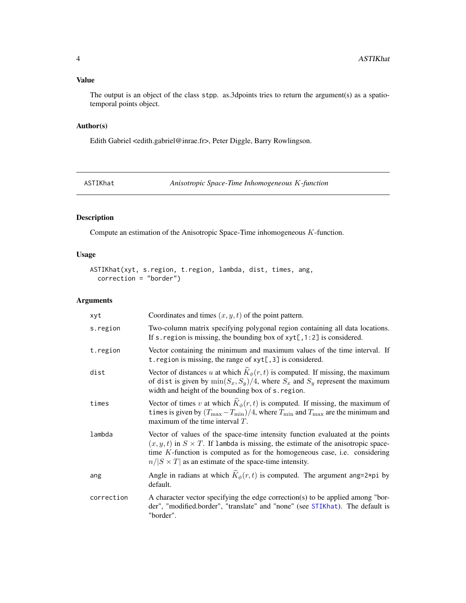### <span id="page-3-0"></span>Value

The output is an object of the class stpp. as.3dpoints tries to return the argument(s) as a spatiotemporal points object.

### Author(s)

Edith Gabriel <edith.gabriel@inrae.fr>, Peter Diggle, Barry Rowlingson.

<span id="page-3-1"></span>ASTIKhat *Anisotropic Space-Time Inhomogeneous* K*-function*

### Description

Compute an estimation of the Anisotropic Space-Time inhomogeneous K-function.

### Usage

```
ASTIKhat(xyt, s.region, t.region, lambda, dist, times, ang,
  correction = "border")
```

| xyt        | Coordinates and times $(x, y, t)$ of the point pattern.                                                                                                                                                                                                                                                                     |
|------------|-----------------------------------------------------------------------------------------------------------------------------------------------------------------------------------------------------------------------------------------------------------------------------------------------------------------------------|
| s.region   | Two-column matrix specifying polygonal region containing all data locations.<br>If s. region is missing, the bounding box of $xyt[, 1:2]$ is considered.                                                                                                                                                                    |
| t.region   | Vector containing the minimum and maximum values of the time interval. If<br>t. region is missing, the range of $xyt[, 3]$ is considered.                                                                                                                                                                                   |
| dist       | Vector of distances u at which $\widehat{K}_{\phi}(r,t)$ is computed. If missing, the maximum<br>of dist is given by $\min(S_x, S_y)/4$ , where $S_x$ and $S_y$ represent the maximum<br>width and height of the bounding box of s. region.                                                                                 |
| times      | Vector of times v at which $\hat{K}_{\phi}(r,t)$ is computed. If missing, the maximum of<br>times is given by $(T_{\text{max}} - T_{\text{min}})/4$ , where $T_{\text{min}}$ and $T_{\text{max}}$ are the minimum and<br>maximum of the time interval $T$ .                                                                 |
| lambda     | Vector of values of the space-time intensity function evaluated at the points<br>$(x, y, t)$ in $S \times T$ . If lambda is missing, the estimate of the anisotropic space-<br>time $K$ -function is computed as for the homogeneous case, i.e. considering<br>$n/ S \times T $ as an estimate of the space-time intensity. |
| ang        | Angle in radians at which $\hat{K}_{\phi}(r,t)$ is computed. The argument ang=2*pi by<br>default.                                                                                                                                                                                                                           |
| correction | A character vector specifying the edge correction(s) to be applied among "bor-<br>der", "modified.border", "translate" and "none" (see STIKhat). The default is<br>"border".                                                                                                                                                |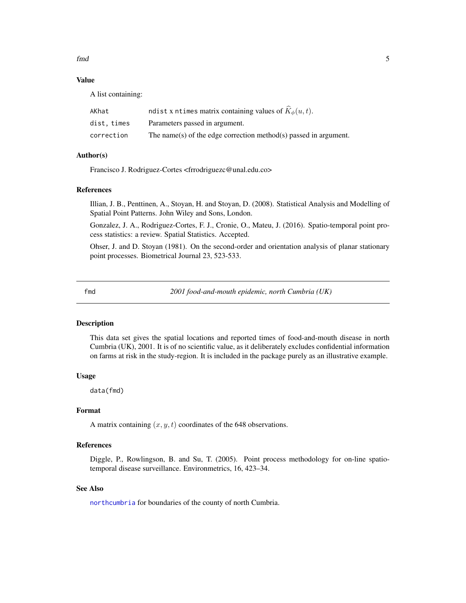<span id="page-4-0"></span>fmd 5

### Value

A list containing:

| AKhat       | ndist x ntimes matrix containing values of $K_{\phi}(u, t)$ .    |
|-------------|------------------------------------------------------------------|
| dist. times | Parameters passed in argument.                                   |
| correction  | The name(s) of the edge correction method(s) passed in argument. |

### Author(s)

Francisco J. Rodriguez-Cortes <frrodriguezc@unal.edu.co>

#### References

Illian, J. B., Penttinen, A., Stoyan, H. and Stoyan, D. (2008). Statistical Analysis and Modelling of Spatial Point Patterns. John Wiley and Sons, London.

Gonzalez, J. A., Rodriguez-Cortes, F. J., Cronie, O., Mateu, J. (2016). Spatio-temporal point process statistics: a review. Spatial Statistics. Accepted.

Ohser, J. and D. Stoyan (1981). On the second-order and orientation analysis of planar stationary point processes. Biometrical Journal 23, 523-533.

<span id="page-4-1"></span>fmd *2001 food-and-mouth epidemic, north Cumbria (UK)*

### Description

This data set gives the spatial locations and reported times of food-and-mouth disease in north Cumbria (UK), 2001. It is of no scientific value, as it deliberately excludes confidential information on farms at risk in the study-region. It is included in the package purely as an illustrative example.

### Usage

data(fmd)

### Format

A matrix containing  $(x, y, t)$  coordinates of the 648 observations.

#### References

Diggle, P., Rowlingson, B. and Su, T. (2005). Point process methodology for on-line spatiotemporal disease surveillance. Environmetrics, 16, 423–34.

### See Also

[northcumbria](#page-20-1) for boundaries of the county of north Cumbria.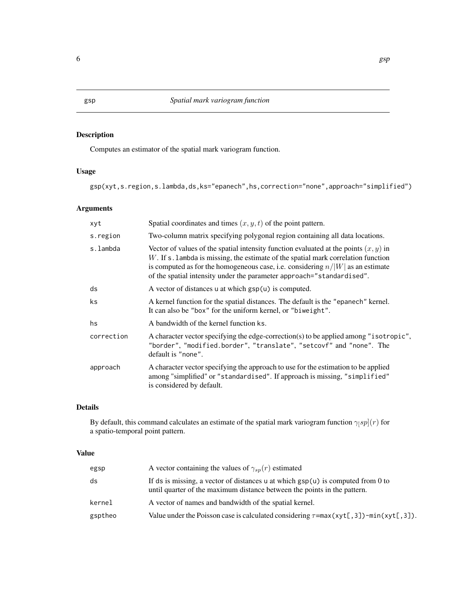### Description

Computes an estimator of the spatial mark variogram function.

### Usage

gsp(xyt,s.region,s.lambda,ds,ks="epanech",hs,correction="none",approach="simplified")

### Arguments

| xyt        | Spatial coordinates and times $(x, y, t)$ of the point pattern.                                                                                                                                                                                                                                                                             |
|------------|---------------------------------------------------------------------------------------------------------------------------------------------------------------------------------------------------------------------------------------------------------------------------------------------------------------------------------------------|
| s.region   | Two-column matrix specifying polygonal region containing all data locations.                                                                                                                                                                                                                                                                |
| s.lambda   | Vector of values of the spatial intensity function evaluated at the points $(x, y)$ in<br>$W$ . If s. lambda is missing, the estimate of the spatial mark correlation function<br>is computed as for the homogeneous case, i.e. considering $n/ W $ as an estimate<br>of the spatial intensity under the parameter approach="standardised". |
| ds         | A vector of distances u at which $\text{gsp}(u)$ is computed.                                                                                                                                                                                                                                                                               |
| ks.        | A kernel function for the spatial distances. The default is the "epanech" kernel.<br>It can also be "box" for the uniform kernel, or "biweight".                                                                                                                                                                                            |
| hs         | A bandwidth of the kernel function ks.                                                                                                                                                                                                                                                                                                      |
| correction | A character vector specifying the edge-correction(s) to be applied among "isotropic",<br>"border", "modified.border", "translate", "setcovf" and "none". The<br>default is "none".                                                                                                                                                          |
| approach   | A character vector specifying the approach to use for the estimation to be applied<br>among "simplified" or "standardised". If approach is missing, "simplified"<br>is considered by default.                                                                                                                                               |

### Details

By default, this command calculates an estimate of the spatial mark variogram function  $\gamma_{\beta}p](r)$  for a spatio-temporal point pattern.

### Value

| egsp    | A vector containing the values of $\gamma_{sn}(r)$ estimated                                                                                                         |
|---------|----------------------------------------------------------------------------------------------------------------------------------------------------------------------|
| ds      | If ds is missing, a vector of distances u at which $\text{gsp}(u)$ is computed from 0 to<br>until quarter of the maximum distance between the points in the pattern. |
| kernel  | A vector of names and bandwidth of the spatial kernel.                                                                                                               |
| gsptheo | Value under the Poisson case is calculated considering $\tau = max(xyt[, 3]) - min(xyt[, 3])$ .                                                                      |

<span id="page-5-1"></span><span id="page-5-0"></span>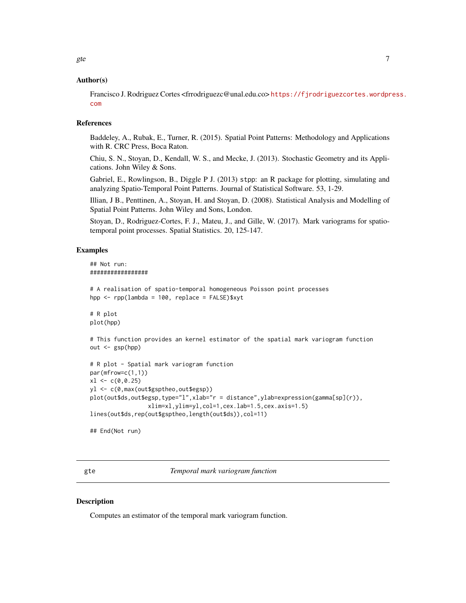### <span id="page-6-0"></span>Author(s)

Francisco J. Rodriguez Cortes <frrodriguezc@unal.edu.co> [https://fjrodriguezcortes.wordpr](https://fjrodriguezcortes.wordpress.com)ess. [com](https://fjrodriguezcortes.wordpress.com)

#### References

Baddeley, A., Rubak, E., Turner, R. (2015). Spatial Point Patterns: Methodology and Applications with R. CRC Press, Boca Raton.

Chiu, S. N., Stoyan, D., Kendall, W. S., and Mecke, J. (2013). Stochastic Geometry and its Applications. John Wiley & Sons.

Gabriel, E., Rowlingson, B., Diggle P J. (2013) stpp: an R package for plotting, simulating and analyzing Spatio-Temporal Point Patterns. Journal of Statistical Software. 53, 1-29.

Illian, J B., Penttinen, A., Stoyan, H. and Stoyan, D. (2008). Statistical Analysis and Modelling of Spatial Point Patterns. John Wiley and Sons, London.

Stoyan, D., Rodriguez-Cortes, F. J., Mateu, J., and Gille, W. (2017). Mark variograms for spatiotemporal point processes. Spatial Statistics. 20, 125-147.

### Examples

```
## Not run:
#################
# A realisation of spatio-temporal homogeneous Poisson point processes
hpp <- rpp(lambda = 100, replace = FALSE)$xyt
# R plot
plot(hpp)
# This function provides an kernel estimator of the spatial mark variogram function
out <- gsp(hpp)
# R plot - Spatial mark variogram function
par(mfrow=c(1,1))
x1 \leftarrow c(0, 0.25)yl <- c(0,max(out$gsptheo,out$egsp))
plot(out$ds,out$egsp,type="l",xlab="r = distance",ylab=expression(gamma[sp](r)),
                 xlim=xl,ylim=yl,col=1,cex.lab=1.5,cex.axis=1.5)
lines(out$ds,rep(out$gsptheo,length(out$ds)),col=11)
```
## End(Not run)

<span id="page-6-1"></span>gte *Temporal mark variogram function*

#### **Description**

Computes an estimator of the temporal mark variogram function.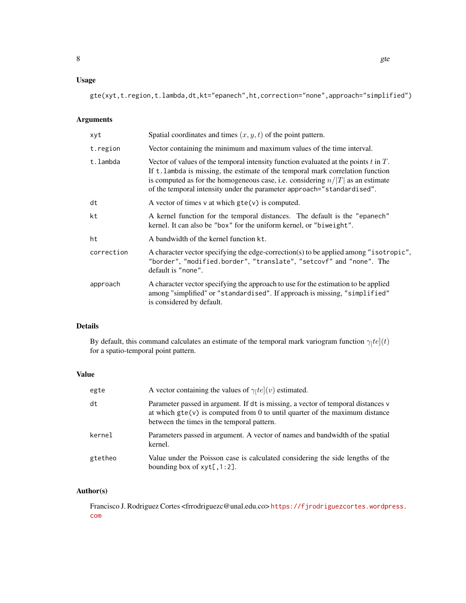### Usage

gte(xyt,t.region,t.lambda,dt,kt="epanech",ht,correction="none",approach="simplified")

### Arguments

| Spatial coordinates and times $(x, y, t)$ of the point pattern.                                                                                                                                                                                                                                                                           |
|-------------------------------------------------------------------------------------------------------------------------------------------------------------------------------------------------------------------------------------------------------------------------------------------------------------------------------------------|
| Vector containing the minimum and maximum values of the time interval.                                                                                                                                                                                                                                                                    |
| Vector of values of the temporal intensity function evaluated at the points $t$ in $T$ .<br>If t. lambda is missing, the estimate of the temporal mark correlation function<br>is computed as for the homogeneous case, i.e. considering $n/ T $ as an estimate<br>of the temporal intensity under the parameter approach="standardised". |
| A vector of times $v$ at which $gte(v)$ is computed.                                                                                                                                                                                                                                                                                      |
| A kernel function for the temporal distances. The default is the "epanech"<br>kernel. It can also be "box" for the uniform kernel, or "biweight".                                                                                                                                                                                         |
| A bandwidth of the kernel function kt.                                                                                                                                                                                                                                                                                                    |
| A character vector specifying the edge-correction(s) to be applied among "isotropic",<br>"border", "modified.border", "translate", "setcovf" and "none". The<br>default is "none".                                                                                                                                                        |
| A character vector specifying the approach to use for the estimation to be applied<br>among "simplified" or "standardised". If approach is missing, "simplified"<br>is considered by default.                                                                                                                                             |
|                                                                                                                                                                                                                                                                                                                                           |

### Details

By default, this command calculates an estimate of the temporal mark variogram function  $\gamma_{\parallel}te](t)$ for a spatio-temporal point pattern.

### Value

| egte    | A vector containing the values of $\gamma_1te (v)$ estimated.                                                                                                                                                          |
|---------|------------------------------------------------------------------------------------------------------------------------------------------------------------------------------------------------------------------------|
| dt      | Parameter passed in argument. If dt is missing, a vector of temporal distances v<br>at which $\text{gte}(v)$ is computed from 0 to until quarter of the maximum distance<br>between the times in the temporal pattern. |
| kernel  | Parameters passed in argument. A vector of names and bandwidth of the spatial<br>kernel.                                                                                                                               |
| gtetheo | Value under the Poisson case is calculated considering the side lengths of the<br>bounding box of $xyt[, 1:2].$                                                                                                        |

### Author(s)

Francisco J. Rodriguez Cortes <frrodriguezc@unal.edu.co> [https://fjrodriguezcortes.wordpr](https://fjrodriguezcortes.wordpress.com)ess. [com](https://fjrodriguezcortes.wordpress.com)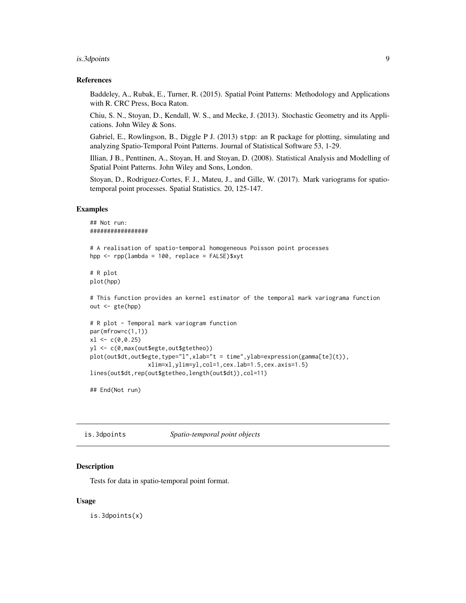#### <span id="page-8-0"></span>is.3dpoints 9

#### References

Baddeley, A., Rubak, E., Turner, R. (2015). Spatial Point Patterns: Methodology and Applications with R. CRC Press, Boca Raton.

Chiu, S. N., Stoyan, D., Kendall, W. S., and Mecke, J. (2013). Stochastic Geometry and its Applications. John Wiley & Sons.

Gabriel, E., Rowlingson, B., Diggle P J. (2013) stpp: an R package for plotting, simulating and analyzing Spatio-Temporal Point Patterns. Journal of Statistical Software 53, 1-29.

Illian, J B., Penttinen, A., Stoyan, H. and Stoyan, D. (2008). Statistical Analysis and Modelling of Spatial Point Patterns. John Wiley and Sons, London.

Stoyan, D., Rodriguez-Cortes, F. J., Mateu, J., and Gille, W. (2017). Mark variograms for spatiotemporal point processes. Spatial Statistics. 20, 125-147.

#### Examples

```
## Not run:
#################
# A realisation of spatio-temporal homogeneous Poisson point processes
hpp \leq rpp(lambda = 100, replace = FALSE) $xyt
# R plot
plot(hpp)
# This function provides an kernel estimator of the temporal mark variograma function
out <- gte(hpp)
# R plot - Temporal mark variogram function
par(mfrow=c(1,1))
x1 \leftarrow c(0, 0.25)yl <- c(0,max(out$egte,out$gtetheo))
plot(out$dt,out$egte,type="l",xlab="t = time",ylab=expression(gamma[te](t)),
                 xlim=xl,ylim=yl,col=1,cex.lab=1.5,cex.axis=1.5)
lines(out$dt,rep(out$gtetheo,length(out$dt)),col=11)
```
## End(Not run)

is.3dpoints *Spatio-temporal point objects*

#### Description

Tests for data in spatio-temporal point format.

#### Usage

is.3dpoints(x)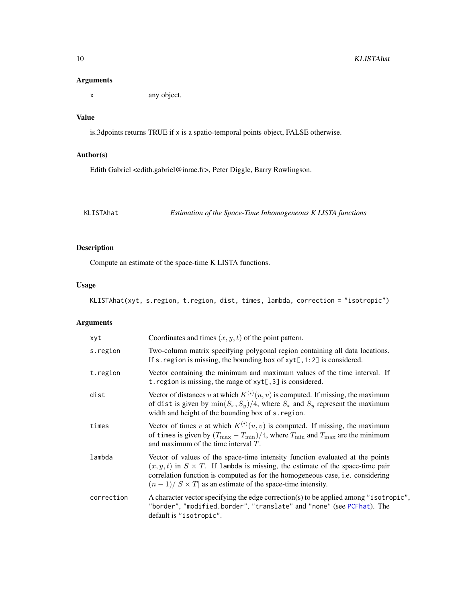### <span id="page-9-0"></span>Arguments

x any object.

### Value

is.3dpoints returns TRUE if x is a spatio-temporal points object, FALSE otherwise.

### Author(s)

Edith Gabriel <edith.gabriel@inrae.fr>, Peter Diggle, Barry Rowlingson.

<span id="page-9-1"></span>KLISTAhat *Estimation of the Space-Time Inhomogeneous K LISTA functions*

### Description

Compute an estimate of the space-time K LISTA functions.

### Usage

KLISTAhat(xyt, s.region, t.region, dist, times, lambda, correction = "isotropic")

| xyt        | Coordinates and times $(x, y, t)$ of the point pattern.                                                                                                                                                                                                                                                                               |
|------------|---------------------------------------------------------------------------------------------------------------------------------------------------------------------------------------------------------------------------------------------------------------------------------------------------------------------------------------|
| s.region   | Two-column matrix specifying polygonal region containing all data locations.<br>If s. region is missing, the bounding box of $xyt[, 1:2]$ is considered.                                                                                                                                                                              |
| t.region   | Vector containing the minimum and maximum values of the time interval. If<br>t. region is missing, the range of $xyt[, 3]$ is considered.                                                                                                                                                                                             |
| dist       | Vector of distances u at which $K^{(i)}(u, v)$ is computed. If missing, the maximum<br>of dist is given by $\min(S_x, S_y)/4$ , where $S_x$ and $S_y$ represent the maximum<br>width and height of the bounding box of s. region.                                                                                                     |
| times      | Vector of times v at which $K^{(i)}(u, v)$ is computed. If missing, the maximum<br>of times is given by $(T_{\text{max}} - T_{\text{min}})/4$ , where $T_{\text{min}}$ and $T_{\text{max}}$ are the minimum<br>and maximum of the time interval $T$ .                                                                                 |
| lambda     | Vector of values of the space-time intensity function evaluated at the points<br>$(x, y, t)$ in $S \times T$ . If lambda is missing, the estimate of the space-time pair<br>correlation function is computed as for the homogeneous case, <i>i.e.</i> considering<br>$(n-1)/ S \times T $ as an estimate of the space-time intensity. |
| correction | A character vector specifying the edge correction(s) to be applied among "isotropic",<br>"border", "modified.border", "translate" and "none" (see PCFhat). The<br>default is "isotropic".                                                                                                                                             |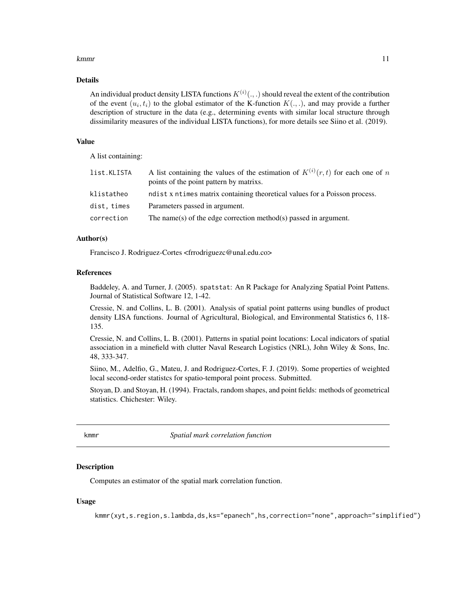#### <span id="page-10-0"></span>kmmr til 11

#### Details

An individual product density LISTA functions  $K^{(i)}(.,.)$  should reveal the extent of the contribution of the event  $(u_i, t_i)$  to the global estimator of the K-function  $K(., .)$ , and may provide a further description of structure in the data (e.g., determining events with similar local structure through dissimilarity measures of the individual LISTA functions), for more details see Siino et al. (2019).

#### Value

A list containing:

| list.KLISTA | A list containing the values of the estimation of $K^{(i)}(r,t)$ for each one of n<br>points of the point pattern by matrixs. |
|-------------|-------------------------------------------------------------------------------------------------------------------------------|
| klistatheo  | ndist x ntimes matrix containing theoretical values for a Poisson process.                                                    |
| dist, times | Parameters passed in argument.                                                                                                |
| correction  | The name(s) of the edge correction method(s) passed in argument.                                                              |

#### Author(s)

Francisco J. Rodriguez-Cortes <frrodriguezc@unal.edu.co>

#### References

Baddeley, A. and Turner, J. (2005). spatstat: An R Package for Analyzing Spatial Point Pattens. Journal of Statistical Software 12, 1-42.

Cressie, N. and Collins, L. B. (2001). Analysis of spatial point patterns using bundles of product density LISA functions. Journal of Agricultural, Biological, and Environmental Statistics 6, 118- 135.

Cressie, N. and Collins, L. B. (2001). Patterns in spatial point locations: Local indicators of spatial association in a minefield with clutter Naval Research Logistics (NRL), John Wiley & Sons, Inc. 48, 333-347.

Siino, M., Adelfio, G., Mateu, J. and Rodriguez-Cortes, F. J. (2019). Some properties of weighted local second-order statistcs for spatio-temporal point process. Submitted.

Stoyan, D. and Stoyan, H. (1994). Fractals, random shapes, and point fields: methods of geometrical statistics. Chichester: Wiley.

<span id="page-10-1"></span>kmmr *Spatial mark correlation function*

### Description

Computes an estimator of the spatial mark correlation function.

### Usage

kmmr(xyt,s.region,s.lambda,ds,ks="epanech",hs,correction="none",approach="simplified")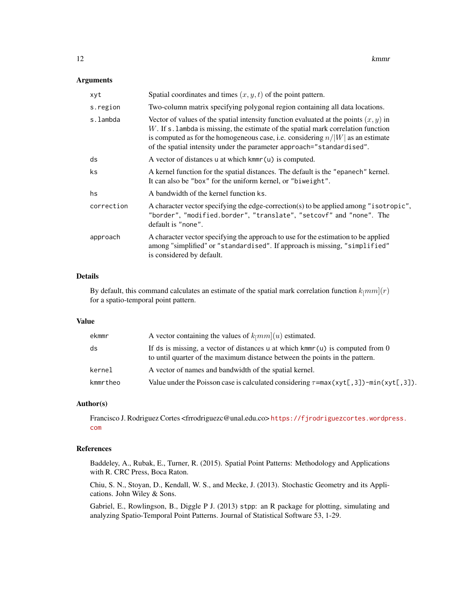#### Arguments

| xyt        | Spatial coordinates and times $(x, y, t)$ of the point pattern.                                                                                                                                                                                                                                                                             |
|------------|---------------------------------------------------------------------------------------------------------------------------------------------------------------------------------------------------------------------------------------------------------------------------------------------------------------------------------------------|
| s.region   | Two-column matrix specifying polygonal region containing all data locations.                                                                                                                                                                                                                                                                |
| s.lambda   | Vector of values of the spatial intensity function evaluated at the points $(x, y)$ in<br>$W$ . If s. lambda is missing, the estimate of the spatial mark correlation function<br>is computed as for the homogeneous case, i.e. considering $n/ W $ as an estimate<br>of the spatial intensity under the parameter approach="standardised". |
| ds         | A vector of distances u at which kmmr(u) is computed.                                                                                                                                                                                                                                                                                       |
| ks         | A kernel function for the spatial distances. The default is the "epanech" kernel.<br>It can also be "box" for the uniform kernel, or "biweight".                                                                                                                                                                                            |
| hs         | A bandwidth of the kernel function ks.                                                                                                                                                                                                                                                                                                      |
| correction | A character vector specifying the edge-correction(s) to be applied among "isotropic",<br>"border", "modified.border", "translate", "setcovf" and "none". The<br>default is "none".                                                                                                                                                          |
| approach   | A character vector specifying the approach to use for the estimation to be applied<br>among "simplified" or "standardised". If approach is missing, "simplified"<br>is considered by default.                                                                                                                                               |

### Details

By default, this command calculates an estimate of the spatial mark correlation function  $k_{\parallel}mm](r)$ for a spatio-temporal point pattern.

#### Value

| ekmmr    | A vector containing the values of $k_{\parallel}mm(u)$ estimated.                                                                                              |
|----------|----------------------------------------------------------------------------------------------------------------------------------------------------------------|
| ds       | If ds is missing, a vector of distances u at which kmm $(u)$ is computed from 0<br>to until quarter of the maximum distance between the points in the pattern. |
| kernel   | A vector of names and bandwidth of the spatial kernel.                                                                                                         |
| kmmrtheo | Value under the Poisson case is calculated considering $\tau = max(xyt[, 3]) - min(xyt[, 3])$ .                                                                |

#### Author(s)

Francisco J. Rodriguez Cortes <frrodriguezc@unal.edu.co> [https://fjrodriguezcortes.wordpr](https://fjrodriguezcortes.wordpress.com)ess. [com](https://fjrodriguezcortes.wordpress.com)

### References

Baddeley, A., Rubak, E., Turner, R. (2015). Spatial Point Patterns: Methodology and Applications with R. CRC Press, Boca Raton.

Chiu, S. N., Stoyan, D., Kendall, W. S., and Mecke, J. (2013). Stochastic Geometry and its Applications. John Wiley & Sons.

Gabriel, E., Rowlingson, B., Diggle P J. (2013) stpp: an R package for plotting, simulating and analyzing Spatio-Temporal Point Patterns. Journal of Statistical Software 53, 1-29.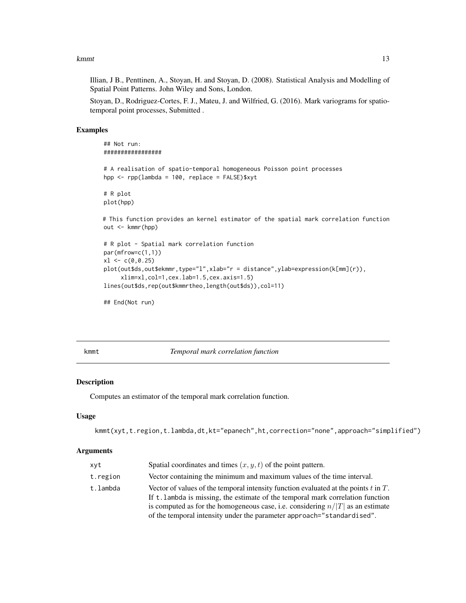#### <span id="page-12-0"></span>kmmt aan de komme van de komme van de komme van de komme van de komme van de komme van de komme van de komme v

Illian, J B., Penttinen, A., Stoyan, H. and Stoyan, D. (2008). Statistical Analysis and Modelling of Spatial Point Patterns. John Wiley and Sons, London.

Stoyan, D., Rodriguez-Cortes, F. J., Mateu, J. and Wilfried, G. (2016). Mark variograms for spatiotemporal point processes, Submitted .

#### Examples

```
## Not run:
#################
# A realisation of spatio-temporal homogeneous Poisson point processes
hpp <- rpp(lambda = 100, replace = FALSE)$xyt
# R plot
plot(hpp)
# This function provides an kernel estimator of the spatial mark correlation function
out <- kmmr(hpp)
# R plot - Spatial mark correlation function
par(mfrow=c(1,1))
x1 \leftarrow c(0, 0.25)plot(out$ds,out$ekmmr,type="l",xlab="r = distance",ylab=expression(k[mm](r)),
     xlim=xl,col=1,cex.lab=1.5,cex.axis=1.5)
lines(out$ds,rep(out$kmmrtheo,length(out$ds)),col=11)
```

```
## End(Not run)
```
<span id="page-12-1"></span>

kmmt *Temporal mark correlation function*

#### Description

Computes an estimator of the temporal mark correlation function.

#### Usage

```
kmmt(xyt,t.region,t.lambda,dt,kt="epanech",ht,correction="none",approach="simplified")
```

| xyt      | Spatial coordinates and times $(x, y, t)$ of the point pattern.                                                                                                                                                                                                                                                                           |  |
|----------|-------------------------------------------------------------------------------------------------------------------------------------------------------------------------------------------------------------------------------------------------------------------------------------------------------------------------------------------|--|
| t.region | Vector containing the minimum and maximum values of the time interval.                                                                                                                                                                                                                                                                    |  |
| t.lambda | Vector of values of the temporal intensity function evaluated at the points $t$ in $T$ .<br>If t. lambda is missing, the estimate of the temporal mark correlation function<br>is computed as for the homogeneous case, i.e. considering $n/ T $ as an estimate<br>of the temporal intensity under the parameter approach="standardised". |  |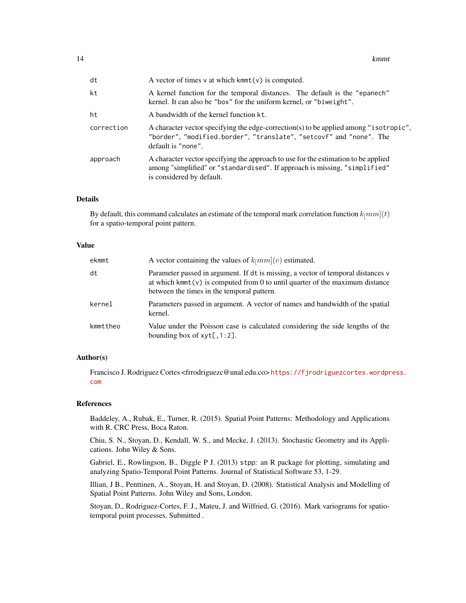| dt         | A vector of times $v$ at which kmmt( $v$ ) is computed.                                                                                                                                       |  |
|------------|-----------------------------------------------------------------------------------------------------------------------------------------------------------------------------------------------|--|
| kt         | A kernel function for the temporal distances. The default is the "epanech"<br>kernel. It can also be "box" for the uniform kernel, or "biweight".                                             |  |
| ht         | A bandwidth of the kernel function kt.                                                                                                                                                        |  |
| correction | A character vector specifying the edge-correction(s) to be applied among "isotropic",<br>"border", "modified.border", "translate", "setcovf" and "none". The<br>default is "none".            |  |
| approach   | A character vector specifying the approach to use for the estimation to be applied<br>among "simplified" or "standardised". If approach is missing, "simplified"<br>is considered by default. |  |

#### Details

By default, this command calculates an estimate of the temporal mark correlation function  $k_{\parallel}mm](t)$ for a spatio-temporal point pattern.

#### Value

| ekmmt    | A vector containing the values of $k_{\parallel}mm(v)$ estimated.                                                                                                                                                  |  |
|----------|--------------------------------------------------------------------------------------------------------------------------------------------------------------------------------------------------------------------|--|
| dt       | Parameter passed in argument. If dt is missing, a vector of temporal distances v<br>at which kmmt( $v$ ) is computed from 0 to until quarter of the maximum distance<br>between the times in the temporal pattern. |  |
| kernel   | Parameters passed in argument. A vector of names and bandwidth of the spatial<br>kernel.                                                                                                                           |  |
| kmmttheo | Value under the Poisson case is calculated considering the side lengths of the<br>bounding box of $xyt[, 1:2].$                                                                                                    |  |

### Author(s)

Francisco J. Rodriguez Cortes <frrodriguezc@unal.edu.co> [https://fjrodriguezcortes.wordpr](https://fjrodriguezcortes.wordpress.com)ess. [com](https://fjrodriguezcortes.wordpress.com)

#### References

Baddeley, A., Rubak, E., Turner, R. (2015). Spatial Point Patterns: Methodology and Applications with R. CRC Press, Boca Raton.

Chiu, S. N., Stoyan, D., Kendall, W. S., and Mecke, J. (2013). Stochastic Geometry and its Applications. John Wiley & Sons.

Gabriel, E., Rowlingson, B., Diggle P J. (2013) stpp: an R package for plotting, simulating and analyzing Spatio-Temporal Point Patterns. Journal of Statistical Software 53, 1-29.

Illian, J B., Penttinen, A., Stoyan, H. and Stoyan, D. (2008). Statistical Analysis and Modelling of Spatial Point Patterns. John Wiley and Sons, London.

Stoyan, D., Rodriguez-Cortes, F. J., Mateu, J. and Wilfried, G. (2016). Mark variograms for spatiotemporal point processes, Submitted .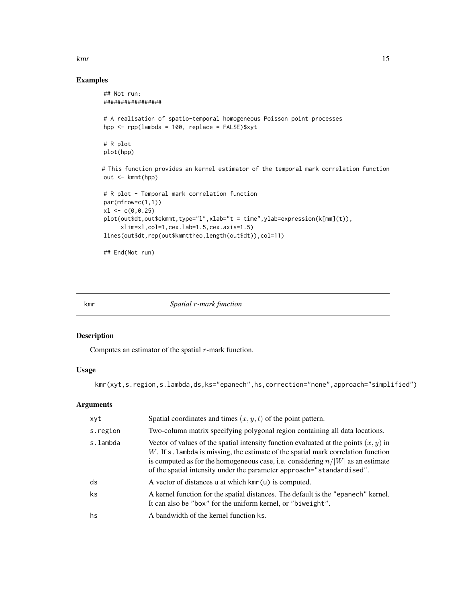#### <span id="page-14-0"></span>kmr i 15

### Examples

```
## Not run:
#################
# A realisation of spatio-temporal homogeneous Poisson point processes
hpp <- rpp(lambda = 100, replace = FALSE)$xyt
# R plot
plot(hpp)
# This function provides an kernel estimator of the temporal mark correlation function
out <- kmmt(hpp)
# R plot - Temporal mark correlation function
par(mfrow=c(1,1))
x1 \leftarrow c(0, 0.25)plot(out$dt,out$ekmmt,type="l",xlab="t = time",ylab=expression(k[mm](t)),
     xlim=xl,col=1,cex.lab=1.5,cex.axis=1.5)
lines(out$dt,rep(out$kmmttheo,length(out$dt)),col=11)
## End(Not run)
```
<span id="page-14-1"></span>kmr *Spatial* r*-mark function*

### Description

Computes an estimator of the spatial  $r$ -mark function.

#### Usage

```
kmr(xyt,s.region,s.lambda,ds,ks="epanech",hs,correction="none",approach="simplified")
```

| xyt      | Spatial coordinates and times $(x, y, t)$ of the point pattern.                                                                                                                                                                                                                                                                             |  |
|----------|---------------------------------------------------------------------------------------------------------------------------------------------------------------------------------------------------------------------------------------------------------------------------------------------------------------------------------------------|--|
| s.region | Two-column matrix specifying polygonal region containing all data locations.                                                                                                                                                                                                                                                                |  |
| s.lambda | Vector of values of the spatial intensity function evaluated at the points $(x, y)$ in<br>$W$ . If s. lambda is missing, the estimate of the spatial mark correlation function<br>is computed as for the homogeneous case, i.e. considering $n/ W $ as an estimate<br>of the spatial intensity under the parameter approach="standardised". |  |
| ds       | A vector of distances u at which $kmr(u)$ is computed.                                                                                                                                                                                                                                                                                      |  |
| ks       | A kernel function for the spatial distances. The default is the "epanech" kernel.<br>It can also be "box" for the uniform kernel, or "biweight".                                                                                                                                                                                            |  |
| hs       | A bandwidth of the kernel function ks.                                                                                                                                                                                                                                                                                                      |  |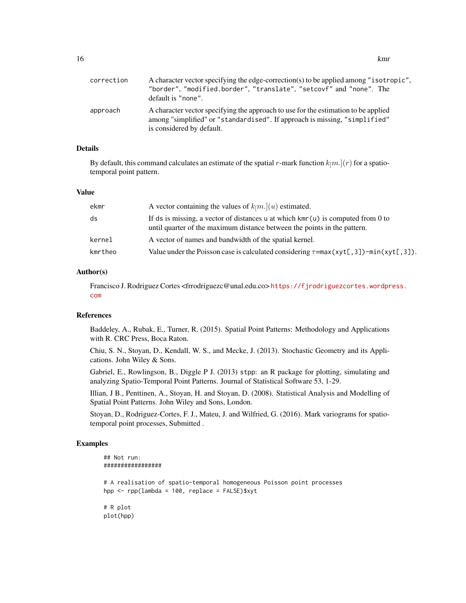| correction | A character vector specifying the edge-correction(s) to be applied among "isotropic",<br>"border", "modified.border", "translate", "setcovf" and "none". The<br>default is "none".            |
|------------|-----------------------------------------------------------------------------------------------------------------------------------------------------------------------------------------------|
| approach   | A character vector specifying the approach to use for the estimation to be applied<br>among "simplified" or "standardised". If approach is missing, "simplified"<br>is considered by default. |

### Details

By default, this command calculates an estimate of the spatial r-mark function  $k_{\parallel}m$ .](r) for a spatiotemporal point pattern.

#### Value

| ekmr    | A vector containing the values of $k_{\parallel}m$ .]( <i>u</i> ) estimated.                                                                                        |
|---------|---------------------------------------------------------------------------------------------------------------------------------------------------------------------|
| ds      | If ds is missing, a vector of distances u at which $\text{km}(u)$ is computed from 0 to<br>until quarter of the maximum distance between the points in the pattern. |
| kernel  | A vector of names and bandwidth of the spatial kernel.                                                                                                              |
| kmrtheo | Value under the Poisson case is calculated considering $\tau = \max(\text{xyt}[\cdot, 3]) - \min(\text{xyt}[\cdot, 3])$ .                                           |

### Author(s)

Francisco J. Rodriguez Cortes <frrodriguezc@unal.edu.co> [https://fjrodriguezcortes.wordpr](https://fjrodriguezcortes.wordpress.com)ess. [com](https://fjrodriguezcortes.wordpress.com)

#### References

Baddeley, A., Rubak, E., Turner, R. (2015). Spatial Point Patterns: Methodology and Applications with R. CRC Press, Boca Raton.

Chiu, S. N., Stoyan, D., Kendall, W. S., and Mecke, J. (2013). Stochastic Geometry and its Applications. John Wiley & Sons.

Gabriel, E., Rowlingson, B., Diggle P J. (2013) stpp: an R package for plotting, simulating and analyzing Spatio-Temporal Point Patterns. Journal of Statistical Software 53, 1-29.

Illian, J B., Penttinen, A., Stoyan, H. and Stoyan, D. (2008). Statistical Analysis and Modelling of Spatial Point Patterns. John Wiley and Sons, London.

Stoyan, D., Rodriguez-Cortes, F. J., Mateu, J. and Wilfried, G. (2016). Mark variograms for spatiotemporal point processes, Submitted .

### Examples

```
## Not run:
#################
# A realisation of spatio-temporal homogeneous Poisson point processes
hpp <- rpp(lambda = 100, replace = FALSE)$xyt
# R plot
plot(hpp)
```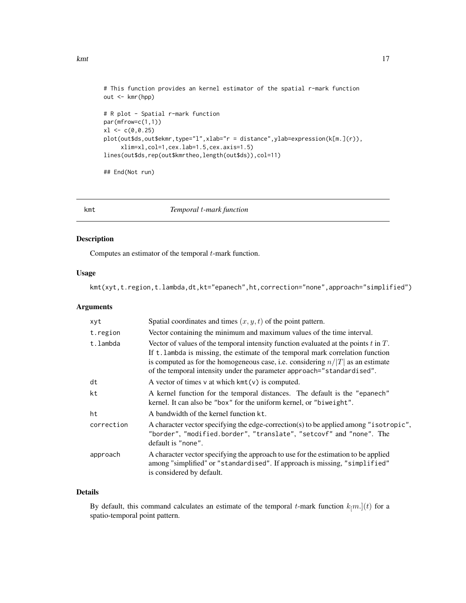```
kmt to the contract of the contract of the contract of the contract of the contract of the contract of the contract of the contract of the contract of the contract of the contract of the contract of the contract of the con
```

```
# This function provides an kernel estimator of the spatial r-mark function
out <- kmr(hpp)
# R plot - Spatial r-mark function
par(mfrow=c(1,1))
x1 \leftarrow c(0, 0.25)plot(out$ds,out$ekmr,type="l",xlab="r = distance",ylab=expression(k[m.](r)),
     xlim=xl,col=1,cex.lab=1.5,cex.axis=1.5)
lines(out$ds,rep(out$kmrtheo,length(out$ds)),col=11)
```
## End(Not run)

<span id="page-16-1"></span>

kmt *Temporal* t*-mark function*

### Description

Computes an estimator of the temporal  $t$ -mark function.

### Usage

kmt(xyt,t.region,t.lambda,dt,kt="epanech",ht,correction="none",approach="simplified")

#### Arguments

| xyt        | Spatial coordinates and times $(x, y, t)$ of the point pattern.                                                                                                                                                                                                                                                                           |  |
|------------|-------------------------------------------------------------------------------------------------------------------------------------------------------------------------------------------------------------------------------------------------------------------------------------------------------------------------------------------|--|
| t.region   | Vector containing the minimum and maximum values of the time interval.                                                                                                                                                                                                                                                                    |  |
| t.lambda   | Vector of values of the temporal intensity function evaluated at the points $t$ in $T$ .<br>If t. lambda is missing, the estimate of the temporal mark correlation function<br>is computed as for the homogeneous case, i.e. considering $n/ T $ as an estimate<br>of the temporal intensity under the parameter approach="standardised". |  |
| dt         | A vector of times $v$ at which $kmt(v)$ is computed.                                                                                                                                                                                                                                                                                      |  |
| kt         | A kernel function for the temporal distances. The default is the "epanech"<br>kernel. It can also be "box" for the uniform kernel, or "biweight".                                                                                                                                                                                         |  |
| ht         | A bandwidth of the kernel function kt.                                                                                                                                                                                                                                                                                                    |  |
| correction | A character vector specifying the edge-correction(s) to be applied among "isotropic",<br>"border", "modified.border", "translate", "setcovf" and "none". The<br>default is "none".                                                                                                                                                        |  |
| approach   | A character vector specifying the approach to use for the estimation to be applied<br>among "simplified" or "standardised". If approach is missing, "simplified"<br>is considered by default.                                                                                                                                             |  |

### Details

By default, this command calculates an estimate of the temporal t-mark function  $k_{\parallel}m$ .](t) for a spatio-temporal point pattern.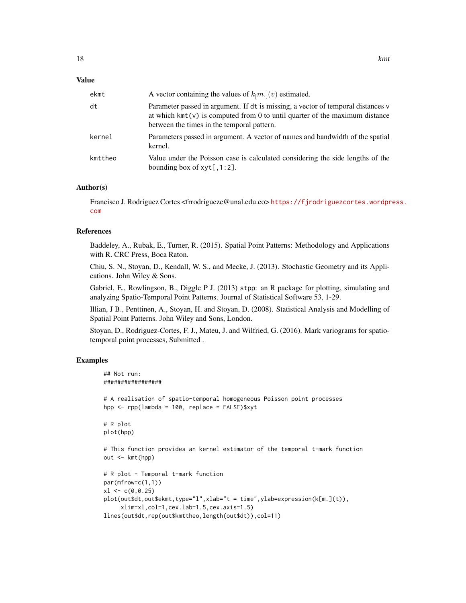#### Value

| ekmt    | A vector containing the values of $k_{\parallel}m$ .](v) estimated.                                                                                                                                             |
|---------|-----------------------------------------------------------------------------------------------------------------------------------------------------------------------------------------------------------------|
| dt      | Parameter passed in argument. If dt is missing, a vector of temporal distances v<br>at which $kmt(v)$ is computed from 0 to until quarter of the maximum distance<br>between the times in the temporal pattern. |
| kernel  | Parameters passed in argument. A vector of names and bandwidth of the spatial<br>kernel.                                                                                                                        |
| kmttheo | Value under the Poisson case is calculated considering the side lengths of the<br>bounding box of $xyt[, 1:2].$                                                                                                 |

### Author(s)

Francisco J. Rodriguez Cortes <frrodriguezc@unal.edu.co> [https://fjrodriguezcortes.wordpr](https://fjrodriguezcortes.wordpress.com)ess. [com](https://fjrodriguezcortes.wordpress.com)

### References

Baddeley, A., Rubak, E., Turner, R. (2015). Spatial Point Patterns: Methodology and Applications with R. CRC Press, Boca Raton.

Chiu, S. N., Stoyan, D., Kendall, W. S., and Mecke, J. (2013). Stochastic Geometry and its Applications. John Wiley & Sons.

Gabriel, E., Rowlingson, B., Diggle P J. (2013) stpp: an R package for plotting, simulating and analyzing Spatio-Temporal Point Patterns. Journal of Statistical Software 53, 1-29.

Illian, J B., Penttinen, A., Stoyan, H. and Stoyan, D. (2008). Statistical Analysis and Modelling of Spatial Point Patterns. John Wiley and Sons, London.

Stoyan, D., Rodriguez-Cortes, F. J., Mateu, J. and Wilfried, G. (2016). Mark variograms for spatiotemporal point processes, Submitted .

### Examples

```
## Not run:
#################
# A realisation of spatio-temporal homogeneous Poisson point processes
hpp <- rpp(lambda = 100, replace = FALSE)$xyt
# R plot
plot(hpp)
# This function provides an kernel estimator of the temporal t-mark function
out <- kmt(hpp)
# R plot - Temporal t-mark function
par(mfrow=c(1,1))
x1 \leftarrow c(0, 0.25)plot(out$dt,out$ekmt,type="l",xlab="t = time",ylab=expression(k[m.](t)),
     xlim=xl,col=1,cex.lab=1.5,cex.axis=1.5)
lines(out$dt,rep(out$kmttheo,length(out$dt)),col=11)
```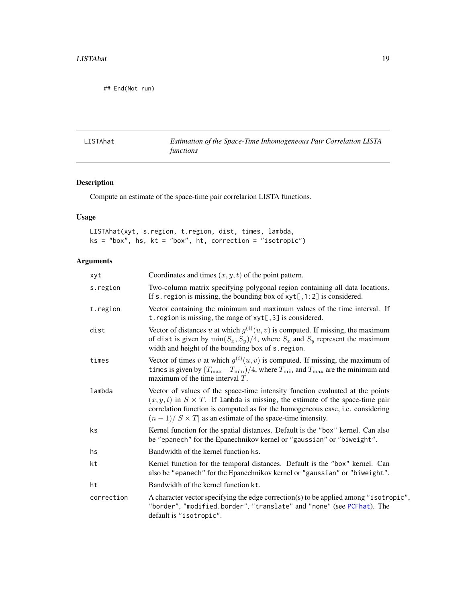<span id="page-18-0"></span>## End(Not run)

<span id="page-18-1"></span>LISTAhat *Estimation of the Space-Time Inhomogeneous Pair Correlation LISTA functions*

### Description

Compute an estimate of the space-time pair correlarion LISTA functions.

### Usage

LISTAhat(xyt, s.region, t.region, dist, times, lambda,  $ks = "box", bs, kt = "box", ht, correction = "isotropic")$ 

| xyt        | Coordinates and times $(x, y, t)$ of the point pattern.                                                                                                                                                                                                                                                                        |  |
|------------|--------------------------------------------------------------------------------------------------------------------------------------------------------------------------------------------------------------------------------------------------------------------------------------------------------------------------------|--|
| s.region   | Two-column matrix specifying polygonal region containing all data locations.<br>If s. region is missing, the bounding box of $xyt[, 1:2]$ is considered.                                                                                                                                                                       |  |
| t.region   | Vector containing the minimum and maximum values of the time interval. If<br>t. region is missing, the range of xyt[, 3] is considered.                                                                                                                                                                                        |  |
| dist       | Vector of distances u at which $g^{(i)}(u, v)$ is computed. If missing, the maximum<br>of dist is given by $\min(S_x, S_y)/4$ , where $S_x$ and $S_y$ represent the maximum<br>width and height of the bounding box of s. region.                                                                                              |  |
| times      | Vector of times v at which $g^{(i)}(u, v)$ is computed. If missing, the maximum of<br>times is given by $(T_{\text{max}} - T_{\text{min}})/4$ , where $T_{\text{min}}$ and $T_{\text{max}}$ are the minimum and<br>maximum of the time interval $T$ .                                                                          |  |
| lambda     | Vector of values of the space-time intensity function evaluated at the points<br>$(x, y, t)$ in $S \times T$ . If lambda is missing, the estimate of the space-time pair<br>correlation function is computed as for the homogeneous case, i.e. considering<br>$(n-1)/ S \times T $ as an estimate of the space-time intensity. |  |
| ks         | Kernel function for the spatial distances. Default is the "box" kernel. Can also<br>be "epanech" for the Epanechnikov kernel or "gaussian" or "biweight".                                                                                                                                                                      |  |
| hs         | Bandwidth of the kernel function ks.                                                                                                                                                                                                                                                                                           |  |
| kt         | Kernel function for the temporal distances. Default is the "box" kernel. Can<br>also be "epanech" for the Epanechnikov kernel or "gaussian" or "biweight".                                                                                                                                                                     |  |
| ht         | Bandwidth of the kernel function kt.                                                                                                                                                                                                                                                                                           |  |
| correction | A character vector specifying the edge correction(s) to be applied among "isotropic",<br>"border", "modified.border", "translate" and "none" (see PCFhat). The<br>default is "isotropic".                                                                                                                                      |  |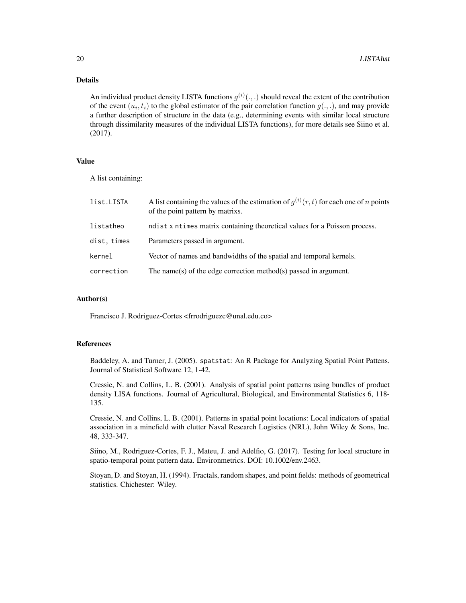### Details

An individual product density LISTA functions  $g^{(i)}(.,.)$  should reveal the extent of the contribution of the event  $(u_i, t_i)$  to the global estimator of the pair correlation function  $g(.,.)$ , and may provide a further description of structure in the data (e.g., determining events with similar local structure through dissimilarity measures of the individual LISTA functions), for more details see Siino et al. (2017).

#### Value

A list containing:

| list.LISTA  | A list containing the values of the estimation of $q^{(i)}(r, t)$ for each one of <i>n</i> points<br>of the point pattern by matrixs. |  |
|-------------|---------------------------------------------------------------------------------------------------------------------------------------|--|
| listatheo   | ndist x ntimes matrix containing theoretical values for a Poisson process.                                                            |  |
| dist, times | Parameters passed in argument.                                                                                                        |  |
| kernel      | Vector of names and bandwidths of the spatial and temporal kernels.                                                                   |  |
| correction  | The name(s) of the edge correction method(s) passed in argument.                                                                      |  |

#### Author(s)

Francisco J. Rodriguez-Cortes <frrodriguezc@unal.edu.co>

### References

Baddeley, A. and Turner, J. (2005). spatstat: An R Package for Analyzing Spatial Point Pattens. Journal of Statistical Software 12, 1-42.

Cressie, N. and Collins, L. B. (2001). Analysis of spatial point patterns using bundles of product density LISA functions. Journal of Agricultural, Biological, and Environmental Statistics 6, 118- 135.

Cressie, N. and Collins, L. B. (2001). Patterns in spatial point locations: Local indicators of spatial association in a minefield with clutter Naval Research Logistics (NRL), John Wiley & Sons, Inc. 48, 333-347.

Siino, M., Rodriguez-Cortes, F. J., Mateu, J. and Adelfio, G. (2017). Testing for local structure in spatio-temporal point pattern data. Environmetrics. DOI: 10.1002/env.2463.

Stoyan, D. and Stoyan, H. (1994). Fractals, random shapes, and point fields: methods of geometrical statistics. Chichester: Wiley.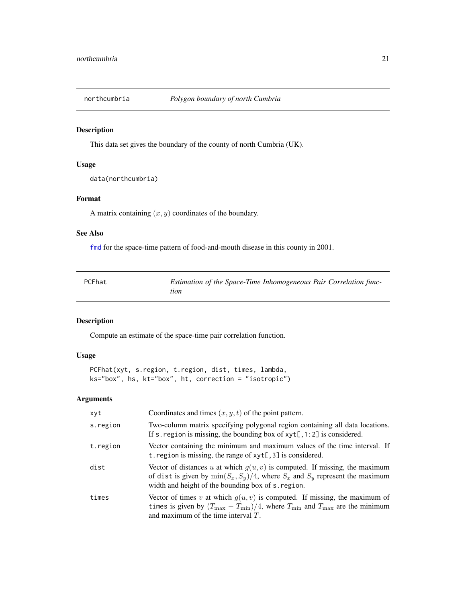<span id="page-20-1"></span><span id="page-20-0"></span>

### Description

This data set gives the boundary of the county of north Cumbria (UK).

### Usage

data(northcumbria)

### Format

A matrix containing  $(x, y)$  coordinates of the boundary.

#### See Also

[fmd](#page-4-1) for the space-time pattern of food-and-mouth disease in this county in 2001.

<span id="page-20-2"></span>

| PCFhat | Estimation of the Space-Time Inhomogeneous Pair Correlation func- |
|--------|-------------------------------------------------------------------|
|        | tion                                                              |

#### Description

Compute an estimate of the space-time pair correlation function.

### Usage

PCFhat(xyt, s.region, t.region, dist, times, lambda, ks="box", hs, kt="box", ht, correction = "isotropic")

| xyt      | Coordinates and times $(x, y, t)$ of the point pattern.                                                                                                                                                                                         |
|----------|-------------------------------------------------------------------------------------------------------------------------------------------------------------------------------------------------------------------------------------------------|
| s.region | Two-column matrix specifying polygonal region containing all data locations.<br>If s. region is missing, the bounding box of $xyt[, 1:2]$ is considered.                                                                                        |
| t.region | Vector containing the minimum and maximum values of the time interval. If<br>t. region is missing, the range of $xyt[, 3]$ is considered.                                                                                                       |
| dist     | Vector of distances u at which $g(u, v)$ is computed. If missing, the maximum<br>of dist is given by $\min(S_x, S_y)/4$ , where $S_x$ and $S_y$ represent the maximum<br>width and height of the bounding box of s. region.                     |
| times    | Vector of times v at which $g(u, v)$ is computed. If missing, the maximum of<br>times is given by $(T_{\text{max}} - T_{\text{min}})/4$ , where $T_{\text{min}}$ and $T_{\text{max}}$ are the minimum<br>and maximum of the time interval $T$ . |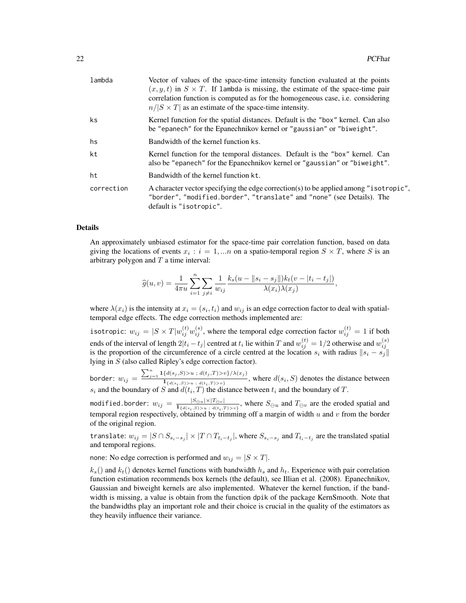| lambda     | Vector of values of the space-time intensity function evaluated at the points<br>$(x, y, t)$ in $S \times T$ . If lambda is missing, the estimate of the space-time pair<br>correlation function is computed as for the homogeneous case, <i>i.e.</i> considering<br>$n/ S \times T $ as an estimate of the space-time intensity. |
|------------|-----------------------------------------------------------------------------------------------------------------------------------------------------------------------------------------------------------------------------------------------------------------------------------------------------------------------------------|
| ks         | Kernel function for the spatial distances. Default is the "box" kernel. Can also<br>be "epanech" for the Epanechnikov kernel or "gaussian" or "biweight".                                                                                                                                                                         |
| hs         | Bandwidth of the kernel function ks.                                                                                                                                                                                                                                                                                              |
| kt         | Kernel function for the temporal distances. Default is the "box" kernel. Can<br>also be "epanech" for the Epanechnikov kernel or "gaussian" or "biweight".                                                                                                                                                                        |
| ht         | Bandwidth of the kernel function kt.                                                                                                                                                                                                                                                                                              |
| correction | A character vector specifying the edge correction(s) to be applied among "isotropic",<br>"border", "modified.border", "translate" and "none" (see Details). The<br>default is "isotropic".                                                                                                                                        |

#### Details

An approximately unbiased estimator for the space-time pair correlation function, based on data giving the locations of events  $x_i : i = 1,...n$  on a spatio-temporal region  $S \times T$ , where S is an arbitrary polygon and  $T$  a time interval:

$$
\widehat{g}(u,v) = \frac{1}{4\pi u} \sum_{i=1}^{n} \sum_{j \neq i} \frac{1}{w_{ij}} \frac{k_s(u - ||s_i - s_j||)k_t(v - |t_i - t_j|)}{\lambda(x_i)\lambda(x_j)},
$$

where  $\lambda(x_i)$  is the intensity at  $x_i = (s_i, t_i)$  and  $w_{ij}$  is an edge correction factor to deal with spatialtemporal edge effects. The edge correction methods implemented are:

isotropic:  $w_{ij}=|S\times T|w_{ij}^{(t)}w_{ij}^{(s)},$  where the temporal edge correction factor  $w_{ij}^{(t)}=1$  if both ends of the interval of length  $2|t_i - t_j|$  centred at  $t_i$  lie within T and  $w_{ij}^{(t)} = 1/2$  otherwise and  $w_{ij}^{(s)}$ is the proportion of the circumference of a circle centred at the location  $s_i$  with radius  $||s_i - s_j||$ lying in S (also called Ripley's edge correction factor).

border:  $w_{ij} =$  $\sum_{j=1}^{n} \mathbf{1}\{d(s_j, S) \geq u \, ; \, d(t_j, T) \geq v\}/\lambda(x_j)$  $\frac{d(s_i, s) > u_j, s(y, t) > u_j, s(y, t)}{d(s_i, s) > u_j, d(t_i, T) > v_j}$ , where  $d(s_i, S)$  denotes the distance between  $s_i$  and the boundary of S and  $d(t_i, T)$  the distance between  $t_i$  and the boundary of T.

modified.border:  $w_{ij} = \frac{|S_{\ominus u}|\times |T_{\ominus v}|}{1+|V_{\odot}|\times |V_{\odot}|\times |V_{\odot}|\times |V_{\odot}|}$  $\frac{|S \ominus u| \times |I \ominus v|}{\prod_{\{d(s_i, S) > u \; : \; d(t_i, T) > v\}}}$ , where  $S_{\ominus u}$  and  $T_{\ominus v}$  are the eroded spatial and temporal region respectively, obtained by trimming off a margin of width  $u$  and  $v$  from the border of the original region.

translate:  $w_{ij} = |S \cap S_{s_i-s_j}| \times |T \cap T_{t_i-t_j}|$ , where  $S_{s_i-s_j}$  and  $T_{t_i-t_j}$  are the translated spatial and temporal regions.

none: No edge correction is performed and  $w_{ij} = |S \times T|$ .

 $k_s$ () and  $k_t$ () denotes kernel functions with bandwidth  $h_s$  and  $h_t$ . Experience with pair correlation function estimation recommends box kernels (the default), see Illian et al. (2008). Epanechnikov, Gaussian and biweight kernels are also implemented. Whatever the kernel function, if the bandwidth is missing, a value is obtain from the function dpik of the package KernSmooth. Note that the bandwidths play an important role and their choice is crucial in the quality of the estimators as they heavily influence their variance.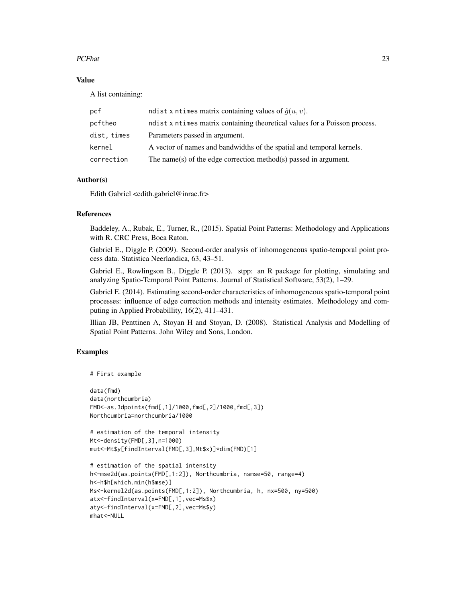### PCFhat 23

### Value

A list containing:

| pcf         | ndist x ntimes matrix containing values of $\hat{g}(u, v)$ .               |
|-------------|----------------------------------------------------------------------------|
| pcftheo     | ndist x ntimes matrix containing theoretical values for a Poisson process. |
| dist, times | Parameters passed in argument.                                             |
| kernel      | A vector of names and bandwidths of the spatial and temporal kernels.      |
| correction  | The name(s) of the edge correction method(s) passed in argument.           |
|             |                                                                            |

### Author(s)

Edith Gabriel <edith.gabriel@inrae.fr>

### References

Baddeley, A., Rubak, E., Turner, R., (2015). Spatial Point Patterns: Methodology and Applications with R. CRC Press, Boca Raton.

Gabriel E., Diggle P. (2009). Second-order analysis of inhomogeneous spatio-temporal point process data. Statistica Neerlandica, 63, 43–51.

Gabriel E., Rowlingson B., Diggle P. (2013). stpp: an R package for plotting, simulating and analyzing Spatio-Temporal Point Patterns. Journal of Statistical Software, 53(2), 1–29.

Gabriel E. (2014). Estimating second-order characteristics of inhomogeneous spatio-temporal point processes: influence of edge correction methods and intensity estimates. Methodology and computing in Applied Probabillity, 16(2), 411–431.

Illian JB, Penttinen A, Stoyan H and Stoyan, D. (2008). Statistical Analysis and Modelling of Spatial Point Patterns. John Wiley and Sons, London.

### Examples

```
# First example
```

```
data(fmd)
data(northcumbria)
FMD<-as.3dpoints(fmd[,1]/1000,fmd[,2]/1000,fmd[,3])
Northcumbria=northcumbria/1000
```

```
# estimation of the temporal intensity
Mt<-density(FMD[,3],n=1000)
mut<-Mt$y[findInterval(FMD[,3],Mt$x)]*dim(FMD)[1]
```

```
# estimation of the spatial intensity
h<-mse2d(as.points(FMD[,1:2]), Northcumbria, nsmse=50, range=4)
h<-h$h[which.min(h$mse)]
Ms<-kernel2d(as.points(FMD[,1:2]), Northcumbria, h, nx=500, ny=500)
atx<-findInterval(x=FMD[,1],vec=Ms$x)
aty<-findInterval(x=FMD[,2],vec=Ms$y)
mhat<-NULL
```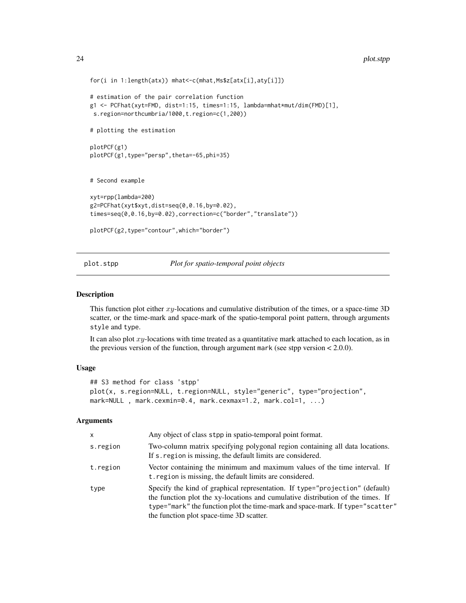```
for(i in 1:length(atx)) mhat<-c(mhat,Ms$z[atx[i],aty[i]])
# estimation of the pair correlation function
g1 <- PCFhat(xyt=FMD, dist=1:15, times=1:15, lambda=mhat*mut/dim(FMD)[1],
 s.region=northcumbria/1000,t.region=c(1,200))
# plotting the estimation
plotPCF(g1)
plotPCF(g1,type="persp",theta=-65,phi=35)
# Second example
xyt=rpp(lambda=200)
g2=PCFhat(xyt$xyt,dist=seq(0,0.16,by=0.02),
times=seq(0,0.16,by=0.02),correction=c("border","translate"))
plotPCF(g2,type="contour",which="border")
```
<span id="page-23-1"></span>plot.stpp *Plot for spatio-temporal point objects*

#### Description

This function plot either  $xy$ -locations and cumulative distribution of the times, or a space-time 3D scatter, or the time-mark and space-mark of the spatio-temporal point pattern, through arguments style and type.

It can also plot  $xy$ -locations with time treated as a quantitative mark attached to each location, as in the previous version of the function, through argument mark (see stpp version < 2.0.0).

### Usage

```
## S3 method for class 'stpp'
plot(x, s.region=NULL, t.region=NULL, style="generic", type="projection",
mark=NULL, mark.cexmin=0.4, mark.cexmax=1.2, mark.col=1, ...)
```

| $\mathsf{x}$ | Any object of class stpp in spatio-temporal point format.                                                                                                                                                                                                                                    |
|--------------|----------------------------------------------------------------------------------------------------------------------------------------------------------------------------------------------------------------------------------------------------------------------------------------------|
| s.region     | Two-column matrix specifying polygonal region containing all data locations.<br>If s. region is missing, the default limits are considered.                                                                                                                                                  |
| t.region     | Vector containing the minimum and maximum values of the time interval. If<br>t. region is missing, the default limits are considered.                                                                                                                                                        |
| type         | Specify the kind of graphical representation. If type="projection" (default)<br>the function plot the xy-locations and cumulative distribution of the times. If<br>type="mark" the function plot the time-mark and space-mark. If type="scatter"<br>the function plot space-time 3D scatter. |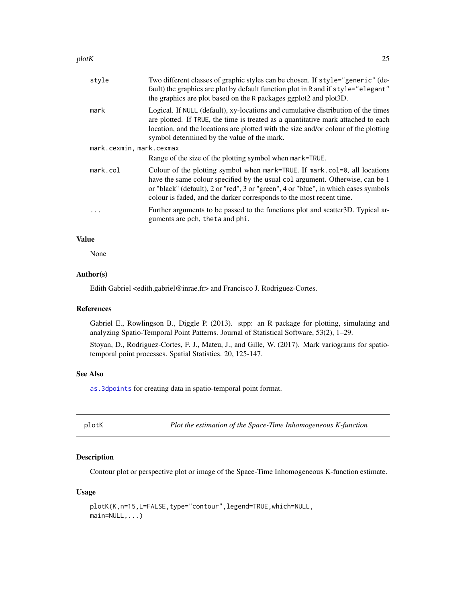#### <span id="page-24-0"></span> $p$ lotK 25

| style                    | Two different classes of graphic styles can be chosen. If style="generic" (de-<br>fault) the graphics are plot by default function plot in R and if style="elegant"<br>the graphics are plot based on the R packages ggplot2 and plot3D.                                                                                   |  |
|--------------------------|----------------------------------------------------------------------------------------------------------------------------------------------------------------------------------------------------------------------------------------------------------------------------------------------------------------------------|--|
| mark                     | Logical. If NULL (default), xy-locations and cumulative distribution of the times<br>are plotted. If TRUE, the time is treated as a quantitative mark attached to each<br>location, and the locations are plotted with the size and/or colour of the plotting<br>symbol determined by the value of the mark.               |  |
| mark.cexmin, mark.cexmax |                                                                                                                                                                                                                                                                                                                            |  |
|                          | Range of the size of the plotting symbol when mark=TRUE.                                                                                                                                                                                                                                                                   |  |
| mark.col                 | Colour of the plotting symbol when mark=TRUE. If mark.col=0, all locations<br>have the same colour specified by the usual col argument. Otherwise, can be 1<br>or "black" (default), 2 or "red", 3 or "green", 4 or "blue", in which cases symbols<br>colour is faded, and the darker corresponds to the most recent time. |  |
| $\cdot$                  | Further arguments to be passed to the functions plot and scatter 3D. Typical ar-<br>guments are pch, theta and phi.                                                                                                                                                                                                        |  |
|                          |                                                                                                                                                                                                                                                                                                                            |  |

### Value

None

### Author(s)

Edith Gabriel <edith.gabriel@inrae.fr> and Francisco J. Rodriguez-Cortes.

#### References

Gabriel E., Rowlingson B., Diggle P. (2013). stpp: an R package for plotting, simulating and analyzing Spatio-Temporal Point Patterns. Journal of Statistical Software, 53(2), 1–29.

Stoyan, D., Rodriguez-Cortes, F. J., Mateu, J., and Gille, W. (2017). Mark variograms for spatiotemporal point processes. Spatial Statistics. 20, 125-147.

### See Also

[as.3dpoints](#page-2-1) for creating data in spatio-temporal point format.

**Example 3** *Plot the estimation of the Space-Time Inhomogeneous K-function* 

### Description

Contour plot or perspective plot or image of the Space-Time Inhomogeneous K-function estimate.

#### Usage

```
plotK(K,n=15,L=FALSE,type="contour",legend=TRUE,which=NULL,
main=NULL,...)
```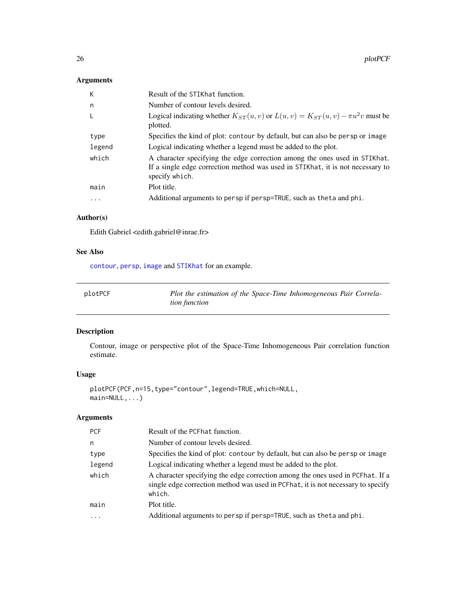### <span id="page-25-0"></span>Arguments

| К      | Result of the STIKhat function.                                                                                                                                                |
|--------|--------------------------------------------------------------------------------------------------------------------------------------------------------------------------------|
| n.     | Number of contour levels desired.                                                                                                                                              |
| -L     | Logical indicating whether $K_{ST}(u, v)$ or $L(u, v) = K_{ST}(u, v) - \pi u^2 v$ must be<br>plotted.                                                                          |
| type   | Specifies the kind of plot: contour by default, but can also be persp or image                                                                                                 |
| legend | Logical indicating whether a legend must be added to the plot.                                                                                                                 |
| which  | A character specifying the edge correction among the ones used in STIKhat.<br>If a single edge correction method was used in STIKhat, it is not necessary to<br>specify which. |
| main   | Plot title.                                                                                                                                                                    |
| .      | Additional arguments to persp if persp=TRUE, such as theta and phi.                                                                                                            |

### Author(s)

Edith Gabriel <edith.gabriel@inrae.fr>

### See Also

[contour](#page-0-0), [persp](#page-0-0), [image](#page-0-0) and [STIKhat](#page-43-1) for an example.

| plotPCF | Plot the estimation of the Space-Time Inhomogeneous Pair Correla- |
|---------|-------------------------------------------------------------------|
|         | tion function                                                     |

### Description

Contour, image or perspective plot of the Space-Time Inhomogeneous Pair correlation function estimate.

### Usage

plotPCF(PCF,n=15,type="contour",legend=TRUE,which=NULL, main=NULL,...)

| <b>PCF</b>              | Result of the PCF hat function.                                                                                                                                              |
|-------------------------|------------------------------------------------------------------------------------------------------------------------------------------------------------------------------|
| n                       | Number of contour levels desired.                                                                                                                                            |
| type                    | Specifies the kind of plot: contour by default, but can also be persp or image                                                                                               |
| legend                  | Logical indicating whether a legend must be added to the plot.                                                                                                               |
| which                   | A character specifying the edge correction among the ones used in PCFhat. If a<br>single edge correction method was used in PCFhat, it is not necessary to specify<br>which. |
| main                    | Plot title.                                                                                                                                                                  |
| $\cdot$ $\cdot$ $\cdot$ | Additional arguments to persp if persp=TRUE, such as theta and phi.                                                                                                          |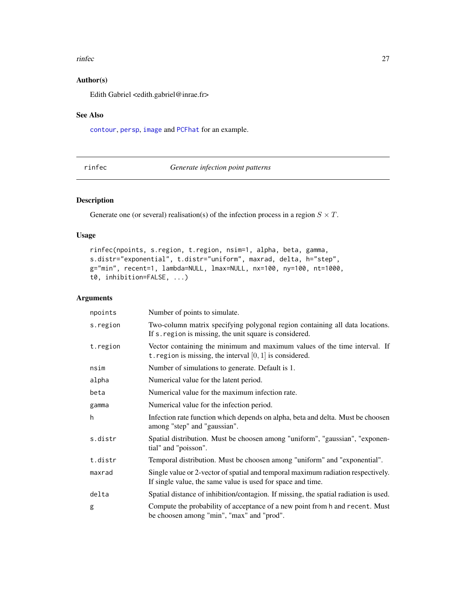#### <span id="page-26-0"></span>rinfec 27

### Author(s)

Edith Gabriel <edith.gabriel@inrae.fr>

### See Also

[contour](#page-0-0), [persp](#page-0-0), [image](#page-0-0) and [PCFhat](#page-20-2) for an example.

<span id="page-26-1"></span>rinfec *Generate infection point patterns*

### Description

Generate one (or several) realisation(s) of the infection process in a region  $S \times T$ .

### Usage

```
rinfec(npoints, s.region, t.region, nsim=1, alpha, beta, gamma,
s.distr="exponential", t.distr="uniform", maxrad, delta, h="step",
g="min", recent=1, lambda=NULL, lmax=NULL, nx=100, ny=100, nt=1000,
t0, inhibition=FALSE, ...)
```

| npoints  | Number of points to simulate.                                                                                                                   |
|----------|-------------------------------------------------------------------------------------------------------------------------------------------------|
| s.region | Two-column matrix specifying polygonal region containing all data locations.<br>If s. region is missing, the unit square is considered.         |
| t.region | Vector containing the minimum and maximum values of the time interval. If<br>t. region is missing, the interval $[0, 1]$ is considered.         |
| nsim     | Number of simulations to generate. Default is 1.                                                                                                |
| alpha    | Numerical value for the latent period.                                                                                                          |
| beta     | Numerical value for the maximum infection rate.                                                                                                 |
| gamma    | Numerical value for the infection period.                                                                                                       |
| h        | Infection rate function which depends on alpha, beta and delta. Must be choosen<br>among "step" and "gaussian".                                 |
| s.distr  | Spatial distribution. Must be choosen among "uniform", "gaussian", "exponen-<br>tial" and "poisson".                                            |
| t.distr  | Temporal distribution. Must be choosen among "uniform" and "exponential".                                                                       |
| maxrad   | Single value or 2-vector of spatial and temporal maximum radiation respectively.<br>If single value, the same value is used for space and time. |
| delta    | Spatial distance of inhibition/contagion. If missing, the spatial radiation is used.                                                            |
| g        | Compute the probability of acceptance of a new point from h and recent. Must<br>be choosen among "min", "max" and "prod".                       |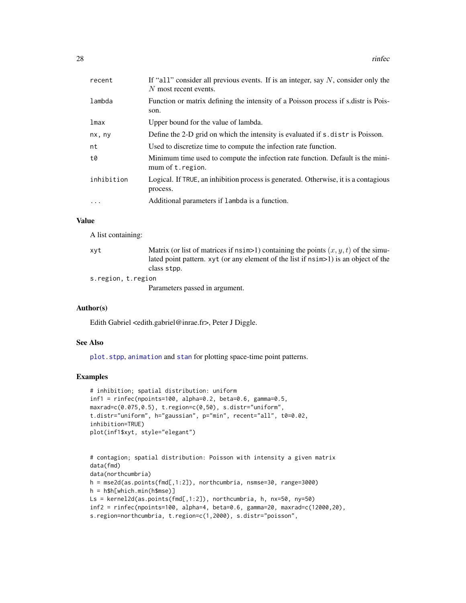<span id="page-27-0"></span>

| recent     | If "all" consider all previous events. If is an integer, say $N$ , consider only the<br>$N$ most recent events. |
|------------|-----------------------------------------------------------------------------------------------------------------|
| lambda     | Function or matrix defining the intensity of a Poisson process if s distr is Pois-<br>son.                      |
| lmax       | Upper bound for the value of lambda.                                                                            |
| nx, ny     | Define the 2-D grid on which the intensity is evaluated if s distr is Poisson.                                  |
| nt         | Used to discretize time to compute the infection rate function.                                                 |
| t0         | Minimum time used to compute the infection rate function. Default is the mini-<br>mum of t. region.             |
| inhibition | Logical. If TRUE, an inhibition process is generated. Otherwise, it is a contagious<br>process.                 |
| $\cdot$    | Additional parameters if lambda is a function.                                                                  |
|            |                                                                                                                 |

#### Value

A list containing:

| xvt                | Matrix (or list of matrices if $nsim>1$ ) containing the points $(x, y, t)$ of the simu- |
|--------------------|------------------------------------------------------------------------------------------|
|                    | lated point pattern. $xyt$ (or any element of the list if $nsim>1$ ) is an object of the |
|                    | class stpp.                                                                              |
| s.region, t.region |                                                                                          |
|                    | Parameters passed in argument.                                                           |

#### Author(s)

Edith Gabriel <edith.gabriel@inrae.fr>, Peter J Diggle.

### See Also

[plot.stpp](#page-23-1), [animation](#page-1-1) and [stan](#page-38-1) for plotting space-time point patterns.

### Examples

```
# inhibition; spatial distribution: uniform
inf1 = rinfec(npoints=100, alpha=0.2, beta=0.6, gamma=0.5,
maxrad=c(0.075,0.5), t.region=c(0,50), s.distr="uniform",
t.distr="uniform", h="gaussian", p="min", recent="all", t0=0.02,
inhibition=TRUE)
plot(inf1$xyt, style="elegant")
```

```
# contagion; spatial distribution: Poisson with intensity a given matrix
data(fmd)
data(northcumbria)
h = mse2d(as.points(fmd[,1:2]), northcumbria, nsmse=30, range=3000)
h = h$h[which.min(h$mse)]
Ls = kernel2d(as.points(fmd[,1:2]), northcumbria, h, nx=50, ny=50)
inf2 = rinfec(npoints=100, alpha=4, beta=0.6, gamma=20, maxrad=c(12000,20),
s.region=northcumbria, t.region=c(1,2000), s.distr="poisson",
```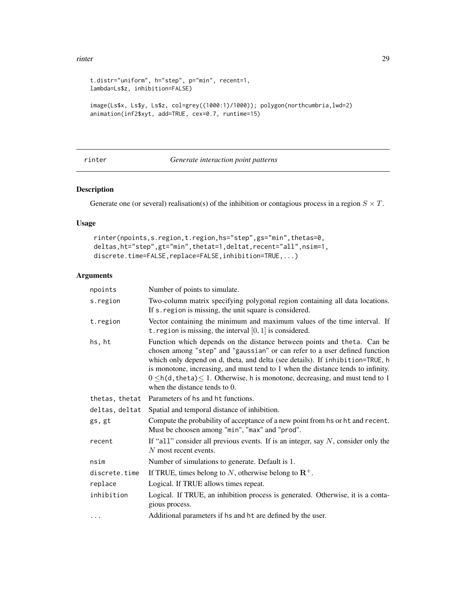#### <span id="page-28-0"></span>rinter and the contract of the contract of the contract of the contract of the contract of the contract of the contract of the contract of the contract of the contract of the contract of the contract of the contract of the

```
t.distr="uniform", h="step", p="min", recent=1,
lambda=Ls$z, inhibition=FALSE)
image(Ls$x, Ls$y, Ls$z, col=grey((1000:1)/1000)); polygon(northcumbria,lwd=2)
animation(inf2$xyt, add=TRUE, cex=0.7, runtime=15)
```
### <span id="page-28-1"></span>rinter *Generate interaction point patterns*

### Description

Generate one (or several) realisation(s) of the inhibition or contagious process in a region  $S \times T$ .

### Usage

```
rinter(npoints,s.region,t.region,hs="step",gs="min",thetas=0,
deltas,ht="step",gt="min",thetat=1,deltat,recent="all",nsim=1,
discrete.time=FALSE,replace=FALSE,inhibition=TRUE,...)
```

| npoints        | Number of points to simulate.                                                                                                                                                                                                                                                                                                                                                                                                                                |
|----------------|--------------------------------------------------------------------------------------------------------------------------------------------------------------------------------------------------------------------------------------------------------------------------------------------------------------------------------------------------------------------------------------------------------------------------------------------------------------|
| s.region       | Two-column matrix specifying polygonal region containing all data locations.<br>If s. region is missing, the unit square is considered.                                                                                                                                                                                                                                                                                                                      |
| t.region       | Vector containing the minimum and maximum values of the time interval. If<br>t. region is missing, the interval $[0, 1]$ is considered.                                                                                                                                                                                                                                                                                                                      |
| hs, ht         | Function which depends on the distance between points and theta. Can be<br>chosen among "step" and "gaussian" or can refer to a user defined function<br>which only depend on d, theta, and delta (see details). If inhibition=TRUE, h<br>is monotone, increasing, and must tend to 1 when the distance tends to infinity.<br>$0 \leq h(d, \text{theta}) \leq 1$ . Otherwise, h is monotone, decreasing, and must tend to 1<br>when the distance tends to 0. |
| thetas, thetat | Parameters of hs and ht functions.                                                                                                                                                                                                                                                                                                                                                                                                                           |
| deltas, deltat | Spatial and temporal distance of inhibition.                                                                                                                                                                                                                                                                                                                                                                                                                 |
| gs, gt         | Compute the probability of acceptance of a new point from hs or ht and recent.<br>Must be choosen among "min", "max" and "prod".                                                                                                                                                                                                                                                                                                                             |
| recent         | If "all" consider all previous events. If is an integer, say $N$ , consider only the<br>$N$ most recent events.                                                                                                                                                                                                                                                                                                                                              |
| nsim           | Number of simulations to generate. Default is 1.                                                                                                                                                                                                                                                                                                                                                                                                             |
| discrete.time  | If TRUE, times belong to N, otherwise belong to $\mathbb{R}^+$ .                                                                                                                                                                                                                                                                                                                                                                                             |
| replace        | Logical. If TRUE allows times repeat.                                                                                                                                                                                                                                                                                                                                                                                                                        |
| inhibition     | Logical. If TRUE, an inhibition process is generated. Otherwise, it is a conta-<br>gious process.                                                                                                                                                                                                                                                                                                                                                            |
| $\cdots$       | Additional parameters if hs and ht are defined by the user.                                                                                                                                                                                                                                                                                                                                                                                                  |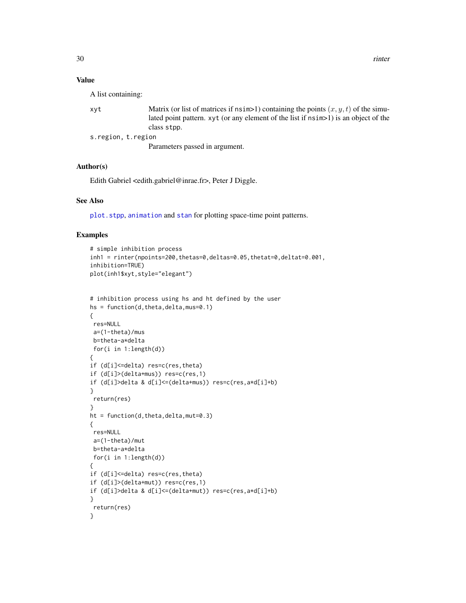### <span id="page-29-0"></span>Value

A list containing:

| xvt | Matrix (or list of matrices if $nsim>1$ ) containing the points $(x, y, t)$ of the simu- |
|-----|------------------------------------------------------------------------------------------|
|     | lated point pattern. xyt (or any element of the list if $nsim>1$ ) is an object of the   |
|     | class stop.                                                                              |
|     | s.region, t.region                                                                       |

Parameters passed in argument.

### Author(s)

Edith Gabriel <edith.gabriel@inrae.fr>, Peter J Diggle.

### See Also

[plot.stpp](#page-23-1), [animation](#page-1-1) and [stan](#page-38-1) for plotting space-time point patterns.

### Examples

```
# simple inhibition process
inh1 = rinter(npoints=200, theta=0, delta=0.05, theta=0, delta=0.001,inhibition=TRUE)
plot(inh1$xyt,style="elegant")
```

```
# inhibition process using hs and ht defined by the user
hs = function(d,theta,delta,mus=0.1)
{
res=NULL
a=(1-theta)/mus
b=theta-a*delta
 for(i in 1:length(d))
{
if (d[i]<=delta) res=c(res,theta)
if (d[i]>(delta+mus)) res=c(res,1)
if (d[i]>delta & d[i]<=(delta+mus)) res=c(res,a*d[i]+b)
}
return(res)
}
ht = function(d, theta, delta, mut=0.3)
{
res=NULL
 a=(1-theta)/mut
 b=theta-a*delta
 for(i in 1:length(d))
{
if (d[i]<=delta) res=c(res,theta)
if (d[i]>(delta+mut)) res=c(res,1)
if (d[i]>delta & d[i]<=(delta+mut)) res=c(res,a*d[i]+b)
}
return(res)
}
```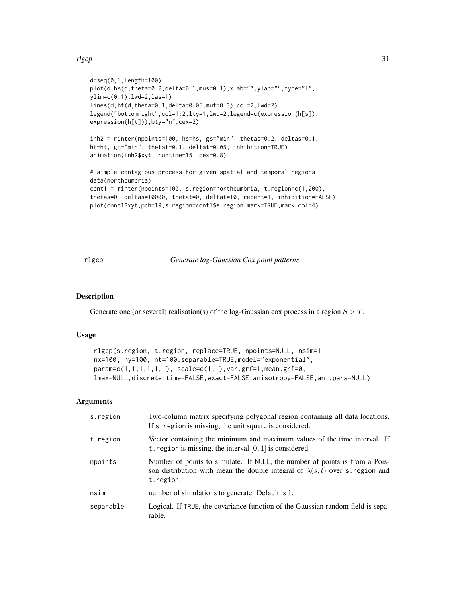#### <span id="page-30-0"></span>rlgcp 31

```
d=seq(0,1,length=100)
plot(d,hs(d,theta=0.2,delta=0.1,mus=0.1),xlab="",ylab="",type="l",
ylim=c(0,1),lwd=2,las=1)
lines(d,ht(d,theta=0.1,delta=0.05,mut=0.3),col=2,lwd=2)
legend("bottomright",col=1:2,lty=1,lwd=2,legend=c(expression(h[s]),
expression(h[t])),bty="n",cex=2)
inh2 = rinter(npoints=100, hs=hs, gs="min", thetas=0.2, deltas=0.1,
ht=ht, gt="min", thetat=0.1, deltat=0.05, inhibition=TRUE)
animation(inh2$xyt, runtime=15, cex=0.8)
# simple contagious process for given spatial and temporal regions
data(northcumbria)
cont1 = rinter(npoints=100, s.region=northcumbria, t.region=c(1,200),
thetas=0, deltas=10000, thetat=0, deltat=10, recent=1, inhibition=FALSE)
plot(cont1$xyt,pch=19,s.region=cont1$s.region,mark=TRUE,mark.col=4)
```
### <span id="page-30-1"></span>rlgcp *Generate log-Gaussian Cox point patterns*

#### Description

Generate one (or several) realisation(s) of the log-Gaussian cox process in a region  $S \times T$ .

#### Usage

```
rlgcp(s.region, t.region, replace=TRUE, npoints=NULL, nsim=1,
nx=100, ny=100, nt=100,separable=TRUE,model="exponential",
param=c(1,1,1,1,1,1), scale=c(1,1),var.grf=1,mean.grf=0,
lmax=NULL,discrete.time=FALSE,exact=FALSE,anisotropy=FALSE,ani.pars=NULL)
```

| s.region  | Two-column matrix specifying polygonal region containing all data locations.<br>If s. region is missing, the unit square is considered.                                         |
|-----------|---------------------------------------------------------------------------------------------------------------------------------------------------------------------------------|
| t.region  | Vector containing the minimum and maximum values of the time interval. If<br>t. region is missing, the interval $[0, 1]$ is considered.                                         |
| npoints   | Number of points to simulate. If NULL, the number of points is from a Pois-<br>son distribution with mean the double integral of $\lambda(s,t)$ over s. region and<br>t.region. |
| nsim      | number of simulations to generate. Default is 1.                                                                                                                                |
| separable | Logical. If TRUE, the covariance function of the Gaussian random field is sepa-<br>rable.                                                                                       |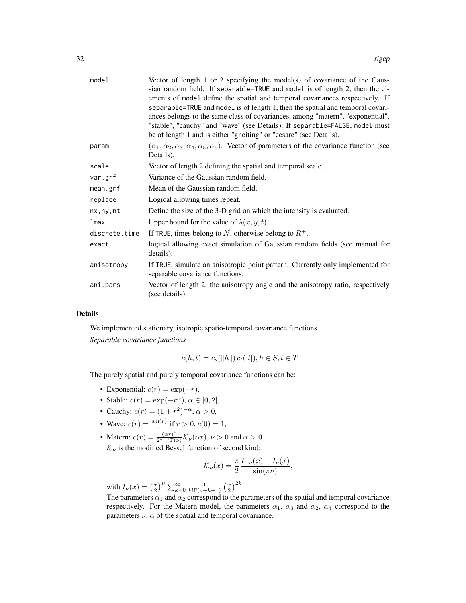| model         | Vector of length 1 or 2 specifying the model(s) of covariance of the Gaus-<br>sian random field. If separable=TRUE and model is of length 2, then the el-<br>ements of model define the spatial and temporal covariances respectively. If<br>separable=TRUE and model is of length 1, then the spatial and temporal covari-<br>ances belongs to the same class of covariances, among "matern", "exponential",<br>"stable", "cauchy" and "wave" (see Details). If separable=FALSE, model must<br>be of length 1 and is either "gneiting" or "cesare" (see Details). |
|---------------|--------------------------------------------------------------------------------------------------------------------------------------------------------------------------------------------------------------------------------------------------------------------------------------------------------------------------------------------------------------------------------------------------------------------------------------------------------------------------------------------------------------------------------------------------------------------|
| param         | $(\alpha_1, \alpha_2, \alpha_3, \alpha_4, \alpha_5, \alpha_6)$ . Vector of parameters of the covariance function (see<br>Details).                                                                                                                                                                                                                                                                                                                                                                                                                                 |
| scale         | Vector of length 2 defining the spatial and temporal scale.                                                                                                                                                                                                                                                                                                                                                                                                                                                                                                        |
| var.grf       | Variance of the Gaussian random field.                                                                                                                                                                                                                                                                                                                                                                                                                                                                                                                             |
| mean.grf      | Mean of the Gaussian random field.                                                                                                                                                                                                                                                                                                                                                                                                                                                                                                                                 |
| replace       | Logical allowing times repeat.                                                                                                                                                                                                                                                                                                                                                                                                                                                                                                                                     |
| nx, ny, nt    | Define the size of the 3-D grid on which the intensity is evaluated.                                                                                                                                                                                                                                                                                                                                                                                                                                                                                               |
| lmax          | Upper bound for the value of $\lambda(x, y, t)$ .                                                                                                                                                                                                                                                                                                                                                                                                                                                                                                                  |
| discrete.time | If TRUE, times belong to N, otherwise belong to $R^+$ .                                                                                                                                                                                                                                                                                                                                                                                                                                                                                                            |
| exact         | logical allowing exact simulation of Gaussian random fields (see manual for<br>details).                                                                                                                                                                                                                                                                                                                                                                                                                                                                           |
| anisotropy    | If TRUE, simulate an anisotropic point pattern. Currently only implemented for<br>separable covariance functions.                                                                                                                                                                                                                                                                                                                                                                                                                                                  |
| ani.pars      | Vector of length 2, the anisotropy angle and the anisotropy ratio, respectively<br>(see details).                                                                                                                                                                                                                                                                                                                                                                                                                                                                  |

### Details

We implemented stationary, isotropic spatio-temporal covariance functions. *Separable covariance functions*

$$
c(h, t) = c_s(||h||) c_t(|t|), h \in S, t \in T
$$

The purely spatial and purely temporal covariance functions can be:

- Exponential:  $c(r) = \exp(-r)$ ,
- Stable:  $c(r) = \exp(-r^{\alpha}), \alpha \in [0, 2],$
- Cauchy:  $c(r) = (1 + r^2)^{-\alpha}, \alpha > 0,$
- Wave:  $c(r) = \frac{\sin(r)}{r}$  if  $r > 0$ ,  $c(0) = 1$ ,
- Matern:  $c(r) = \frac{(\alpha r)^{\nu}}{2^{\nu-1}\Gamma(r)}$  $\frac{(\alpha r)}{2^{\nu-1}\Gamma(\nu)}\mathcal{K}_{\nu}(\alpha r), \nu > 0$  and  $\alpha > 0$ .
- $\mathcal{K}_{\nu}$  is the modified Bessel function of second kind:

$$
\mathcal{K}_{\nu}(x) = \frac{\pi}{2} \frac{I_{-\nu}(x) - I_{\nu}(x)}{\sin(\pi \nu)},
$$

with  $I_{\nu}(x) = \left(\frac{x}{2}\right)^{\nu} \sum_{k=0}^{\infty} \frac{1}{k!\Gamma(\nu+k+1)} \left(\frac{x}{2}\right)^{2k}$ .

The parameters  $\alpha_1$  and  $\alpha_2$  correspond to the parameters of the spatial and temporal covariance respectively. For the Matern model, the parameters  $\alpha_1$ ,  $\alpha_3$  and  $\alpha_2$ ,  $\alpha_4$  correspond to the parameters  $\nu$ ,  $\alpha$  of the spatial and temporal covariance.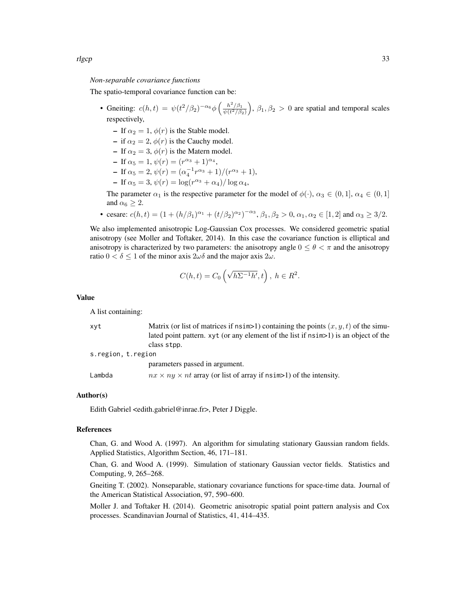#### *Non-separable covariance functions*

The spatio-temporal covariance function can be:

- Gneiting:  $c(h,t) = \psi(t^2/\beta_2)^{-\alpha_6}\phi\left(\frac{h^2/\beta_1}{\psi(t^2/\beta_2)}\right), \beta_1, \beta_2 > 0$  are spatial and temporal scales respectively,
	- If  $\alpha_2 = 1$ ,  $\phi(r)$  is the Stable model.
	- if  $\alpha_2 = 2$ ,  $\phi(r)$  is the Cauchy model.
	- If  $\alpha_2 = 3$ ,  $\phi(r)$  is the Matern model.
	- $\text{If } \alpha_5 = 1, \psi(r) = (r^{\alpha_3} + 1)^{\alpha_4},$
	- If  $\alpha_5 = 2$ ,  $\psi(r) = (\alpha_4^{-1}r^{\alpha_3} + 1)/(r^{\alpha_3} + 1)$ ,
	- $\text{If } \alpha_5 = 3, \psi(r) = \log(r^{\alpha_3} + \alpha_4) / \log \alpha_4,$

The parameter  $\alpha_1$  is the respective parameter for the model of  $\phi(\cdot)$ ,  $\alpha_3 \in (0,1]$ ,  $\alpha_4 \in (0,1]$ and  $\alpha_6 \geq 2$ .

• cesare:  $c(h,t) = (1 + (h/\beta_1)^{\alpha_1} + (t/\beta_2)^{\alpha_2})^{-\alpha_3}, \beta_1, \beta_2 > 0, \alpha_1, \alpha_2 \in [1,2]$  and  $\alpha_3 \ge 3/2$ .

We also implemented anisotropic Log-Gaussian Cox processes. We considered geometric spatial anisotropy (see Moller and Toftaker, 2014). In this case the covariance function is elliptical and anisotropy is characterized by two parameters: the anisotropy angle  $0 \le \theta < \pi$  and the anisotropy ratio  $0 < \delta \leq 1$  of the minor axis  $2\omega\delta$  and the major axis  $2\omega$ .

$$
C(h,t) = C_0\left(\sqrt{h\Sigma^{-1}h'},t\right), h \in R^2.
$$

Value

A list containing:

| xvt               | Matrix (or list of matrices if $nsim>1$ ) containing the points $(x, y, t)$ of the simu- |
|-------------------|------------------------------------------------------------------------------------------|
|                   | lated point pattern. $xyt$ (or any element of the list if $nsim>1$ ) is an object of the |
|                   | class stpp.                                                                              |
| s.region.t.region |                                                                                          |
|                   | parameters passed in argument.                                                           |

Lambda  $nx \times ny \times nt$  array (or list of array if nsim >1) of the intensity.

#### Author(s)

Edith Gabriel <edith.gabriel@inrae.fr>, Peter J Diggle.

#### References

Chan, G. and Wood A. (1997). An algorithm for simulating stationary Gaussian random fields. Applied Statistics, Algorithm Section, 46, 171–181.

Chan, G. and Wood A. (1999). Simulation of stationary Gaussian vector fields. Statistics and Computing, 9, 265–268.

Gneiting T. (2002). Nonseparable, stationary covariance functions for space-time data. Journal of the American Statistical Association, 97, 590–600.

Moller J. and Toftaker H. (2014). Geometric anisotropic spatial point pattern analysis and Cox processes. Scandinavian Journal of Statistics, 41, 414–435.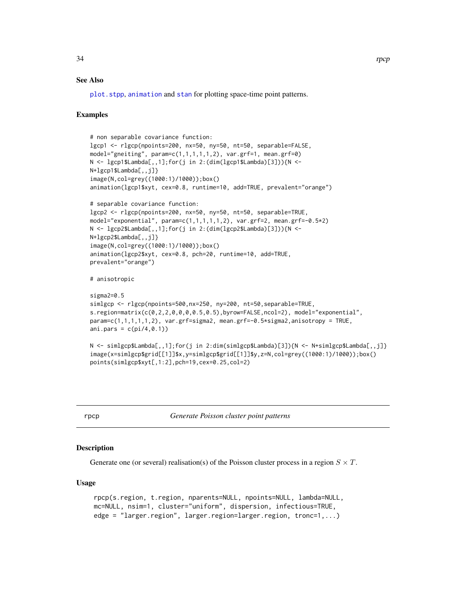#### <span id="page-33-0"></span>See Also

[plot.stpp](#page-23-1), [animation](#page-1-1) and [stan](#page-38-1) for plotting space-time point patterns.

### Examples

```
# non separable covariance function:
lgcp1 <- rlgcp(npoints=200, nx=50, ny=50, nt=50, separable=FALSE,
model="gneiting", param=c(1,1,1,1,1,2), var.grf=1, mean.grf=0)
N <- lgcp1$Lambda[,,1];for(j in 2:(dim(lgcp1$Lambda)[3])){N <-
N+lgcp1$Lambda[,,j]}
image(N,col=grey((1000:1)/1000));box()
animation(lgcp1$xyt, cex=0.8, runtime=10, add=TRUE, prevalent="orange")
# separable covariance function:
lgcp2 <- rlgcp(npoints=200, nx=50, ny=50, nt=50, separable=TRUE,
model="exponential", param=c(1,1,1,1,1,2), var.grf=2, mean.grf=-0.5*2)
N <- lgcp2$Lambda[,,1];for(j in 2:(dim(lgcp2$Lambda)[3])){N <-
N+lgcp2$Lambda[,,j]}
image(N,col=grey((1000:1)/1000));box()
animation(lgcp2$xyt, cex=0.8, pch=20, runtime=10, add=TRUE,
prevalent="orange")
# anisotropic
sigma2=0.5
simlgcp <- rlgcp(npoints=500,nx=250, ny=200, nt=50,separable=TRUE,
s.region=matrix(c(0,2,2,0,0,0,0.5,0.5),byrow=FALSE,ncol=2), model="exponential",
param=c(1,1,1,1,1,2), var.grf=sigma2, mean.grf=-0.5*sigma2,anisotropy = TRUE,
ani.pars = c(pi/4,0.1))
N <- simlgcp$Lambda[,,1];for(j in 2:dim(simlgcp$Lambda)[3]){N <- N+simlgcp$Lambda[,,j]}
image(x=simlgcp$grid[[1]]$x,y=simlgcp$grid[[1]]$y,z=N,col=grey((1000:1)/1000));box()
points(simlgcp$xyt[,1:2],pch=19,cex=0.25,col=2)
```
<span id="page-33-1"></span>rpcp *Generate Poisson cluster point patterns*

#### Description

Generate one (or several) realisation(s) of the Poisson cluster process in a region  $S \times T$ .

#### Usage

```
rpcp(s.region, t.region, nparents=NULL, npoints=NULL, lambda=NULL,
mc=NULL, nsim=1, cluster="uniform", dispersion, infectious=TRUE,
edge = "larger.region", larger.region=larger.region, tronc=1,...)
```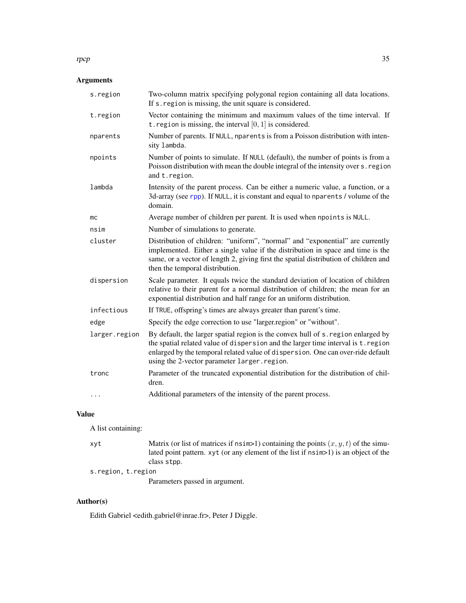### Arguments

| s.region      | Two-column matrix specifying polygonal region containing all data locations.<br>If s. region is missing, the unit square is considered.                                                                                                                                                                  |
|---------------|----------------------------------------------------------------------------------------------------------------------------------------------------------------------------------------------------------------------------------------------------------------------------------------------------------|
| t.region      | Vector containing the minimum and maximum values of the time interval. If<br>t. region is missing, the interval $[0, 1]$ is considered.                                                                                                                                                                  |
| nparents      | Number of parents. If NULL, nparents is from a Poisson distribution with inten-<br>sity lambda.                                                                                                                                                                                                          |
| npoints       | Number of points to simulate. If NULL (default), the number of points is from a<br>Poisson distribution with mean the double integral of the intensity over s. region<br>and t.region.                                                                                                                   |
| lambda        | Intensity of the parent process. Can be either a numeric value, a function, or a<br>3d-array (see rpp). If NULL, it is constant and equal to nparents / volume of the<br>domain.                                                                                                                         |
| mc            | Average number of children per parent. It is used when npoints is NULL.                                                                                                                                                                                                                                  |
| nsim          | Number of simulations to generate.                                                                                                                                                                                                                                                                       |
| cluster       | Distribution of children: "uniform", "normal" and "exponential" are currently<br>implemented. Either a single value if the distribution in space and time is the<br>same, or a vector of length 2, giving first the spatial distribution of children and<br>then the temporal distribution.              |
| dispersion    | Scale parameter. It equals twice the standard deviation of location of children<br>relative to their parent for a normal distribution of children; the mean for an<br>exponential distribution and half range for an uniform distribution.                                                               |
| infectious    | If TRUE, offspring's times are always greater than parent's time.                                                                                                                                                                                                                                        |
| edge          | Specify the edge correction to use "larger.region" or "without".                                                                                                                                                                                                                                         |
| larger.region | By default, the larger spatial region is the convex hull of s. region enlarged by<br>the spatial related value of dispersion and the larger time interval is t. region<br>enlarged by the temporal related value of dispersion. One can over-ride default<br>using the 2-vector parameter larger.region. |
| tronc         | Parameter of the truncated exponential distribution for the distribution of chil-<br>dren.                                                                                                                                                                                                               |
| .             | Additional parameters of the intensity of the parent process.                                                                                                                                                                                                                                            |

### Value

A list containing:

xyt Matrix (or list of matrices if  $nsim>1$ ) containing the points  $(x, y, t)$  of the simulated point pattern. xyt (or any element of the list if nsim>1) is an object of the class stpp.

s.region, t.region

Parameters passed in argument.

### Author(s)

Edith Gabriel <edith.gabriel@inrae.fr>, Peter J Diggle.

#### <span id="page-34-0"></span>rpcp 35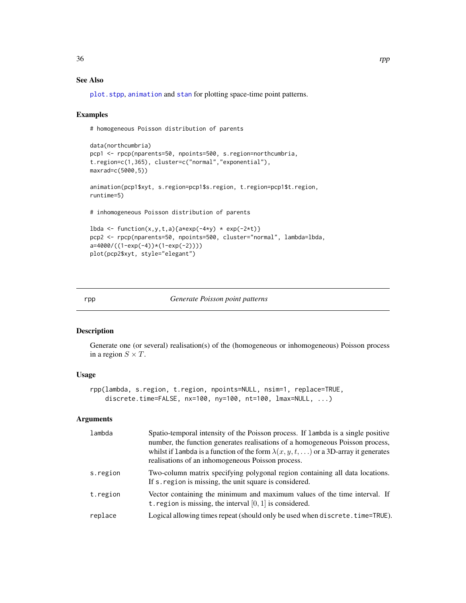### See Also

[plot.stpp](#page-23-1), [animation](#page-1-1) and [stan](#page-38-1) for plotting space-time point patterns.

#### Examples

# homogeneous Poisson distribution of parents

```
data(northcumbria)
pcp1 <- rpcp(nparents=50, npoints=500, s.region=northcumbria,
t.region=c(1,365), cluster=c("normal","exponential"),
maxrad=c(5000,5))
animation(pcp1$xyt, s.region=pcp1$s.region, t.region=pcp1$t.region,
runtime=5)
# inhomogeneous Poisson distribution of parents
lbda <- function(x,y,t,a){a*exp(-4*y) * exp(-2*t)}
pcp2 <- rpcp(nparents=50, npoints=500, cluster="normal", lambda=lbda,
a=4000/((1-exp(-4))*(1-exp(-2))))
plot(pcp2$xyt, style="elegant")
```
<span id="page-35-1"></span>rpp *Generate Poisson point patterns*

### Description

Generate one (or several) realisation(s) of the (homogeneous or inhomogeneous) Poisson process in a region  $S \times T$ .

### Usage

```
rpp(lambda, s.region, t.region, npoints=NULL, nsim=1, replace=TRUE,
    discrete.time=FALSE, nx=100, ny=100, nt=100, lmax=NULL, ...)
```
### Arguments

| lambda   | Spatio-temporal intensity of the Poisson process. If lambda is a single positive<br>number, the function generates realisations of a homogeneous Poisson process,<br>whilst if 1 ambda is a function of the form $\lambda(x, y, t, )$ or a 3D-array it generates<br>realisations of an inhomogeneous Poisson process. |
|----------|-----------------------------------------------------------------------------------------------------------------------------------------------------------------------------------------------------------------------------------------------------------------------------------------------------------------------|
| s.region | Two-column matrix specifying polygonal region containing all data locations.<br>If s. region is missing, the unit square is considered.                                                                                                                                                                               |
| t.region | Vector containing the minimum and maximum values of the time interval. If<br>t. region is missing, the interval $[0, 1]$ is considered.                                                                                                                                                                               |
| replace  | Logical allowing times repeat (should only be used when discrete.time=TRUE).                                                                                                                                                                                                                                          |

<span id="page-35-0"></span>36 rpp and the state of the state of the state of the state of the state of the state of the state of the state of the state of the state of the state of the state of the state of the state of the state of the state of the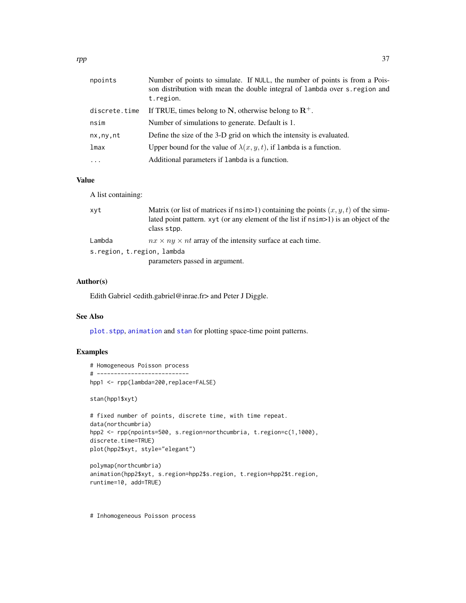<span id="page-36-0"></span>

| npoints       | Number of points to simulate. If NULL, the number of points is from a Pois-<br>son distribution with mean the double integral of lambda over s. region and<br>t.region. |
|---------------|-------------------------------------------------------------------------------------------------------------------------------------------------------------------------|
| discrete.time | If TRUE, times belong to N, otherwise belong to $\mathbb{R}^+$ .                                                                                                        |
| nsim          | Number of simulations to generate. Default is 1.                                                                                                                        |
| nx, ny, nt    | Define the size of the 3-D grid on which the intensity is evaluated.                                                                                                    |
| lmax          | Upper bound for the value of $\lambda(x, y, t)$ , if lambda is a function.                                                                                              |
| $\cdots$      | Additional parameters if lambda is a function.                                                                                                                          |

### Value

A list containing:

| xyt                        | Matrix (or list of matrices if $nsim>1$ ) containing the points $(x, y, t)$ of the simu-<br>lated point pattern. xyt (or any element of the list if $nsim>1$ ) is an object of the<br>class stpp. |
|----------------------------|---------------------------------------------------------------------------------------------------------------------------------------------------------------------------------------------------|
| Lambda                     | $nx \times ny \times nt$ array of the intensity surface at each time.                                                                                                                             |
| s.region, t.region, lambda |                                                                                                                                                                                                   |
|                            | parameters passed in argument.                                                                                                                                                                    |

### Author(s)

Edith Gabriel <edith.gabriel@inrae.fr> and Peter J Diggle.

### See Also

[plot.stpp](#page-23-1), [animation](#page-1-1) and [stan](#page-38-1) for plotting space-time point patterns.

### Examples

```
# Homogeneous Poisson process
# ---------------------------
hpp1 <- rpp(lambda=200,replace=FALSE)
stan(hpp1$xyt)
# fixed number of points, discrete time, with time repeat.
data(northcumbria)
hpp2 <- rpp(npoints=500, s.region=northcumbria, t.region=c(1,1000),
discrete.time=TRUE)
plot(hpp2$xyt, style="elegant")
polymap(northcumbria)
animation(hpp2$xyt, s.region=hpp2$s.region, t.region=hpp2$t.region,
```
- runtime=10, add=TRUE)
- # Inhomogeneous Poisson process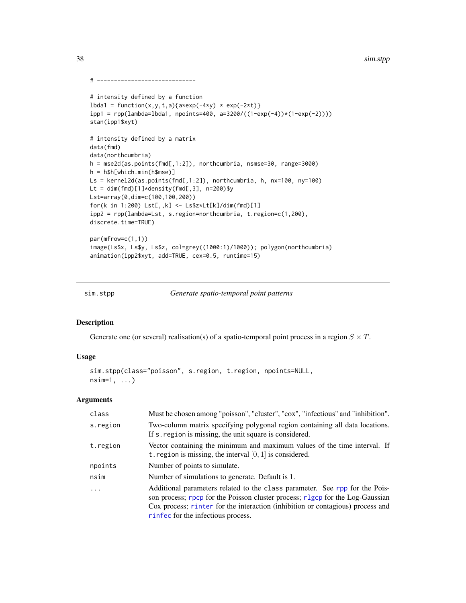```
# -----------------------------
# intensity defined by a function
lbda1 = function(x, y, t, a){a*exp(-4*y) * exp(-2*t)}
ipp1 = rpp(lambda=lbda1, npoints=400, a=3200/((1-exp(-4))*(1-exp(-2))))
stan(ipp1$xyt)
# intensity defined by a matrix
data(fmd)
data(northcumbria)
h = mse2d(as.points(fmd[,1:2]), northcumbria, nsmse=30, range=3000)
h = h$h[which.min(h$mse)]
Ls = kernel2d(as.points(fmd[,1:2]), northcumbria, h, nx=100, ny=100)
Lt = dim(fmd)[1]*density(fmd[,3], n=200)$y
Lst=array(0,dim=c(100,100,200))
for(k in 1:200) Lst[,,k] <- Ls$z*Lt[k]/dim(fmd)[1]
ipp2 = rpp(lambda=Lst, s.region=northcumbria, t.region=c(1,200),
discrete.time=TRUE)
par(mfrow=c(1,1))
image(Ls$x, Ls$y, Ls$z, col=grey((1000:1)/1000)); polygon(northcumbria)
animation(ipp2$xyt, add=TRUE, cex=0.5, runtime=15)
```
sim.stpp *Generate spatio-temporal point patterns*

### Description

Generate one (or several) realisation(s) of a spatio-temporal point process in a region  $S \times T$ .

### Usage

```
sim.stpp(class="poisson", s.region, t.region, npoints=NULL,
nsim=1, ...)
```

| Must be chosen among "poisson", "cluster", "cox", "infectious" and "inhibition".                                                                                                                                                                                                     |
|--------------------------------------------------------------------------------------------------------------------------------------------------------------------------------------------------------------------------------------------------------------------------------------|
| Two-column matrix specifying polygonal region containing all data locations.<br>If s. region is missing, the unit square is considered.                                                                                                                                              |
| Vector containing the minimum and maximum values of the time interval. If<br>t. region is missing, the interval $[0, 1]$ is considered.                                                                                                                                              |
| Number of points to simulate.                                                                                                                                                                                                                                                        |
| Number of simulations to generate. Default is 1.                                                                                                                                                                                                                                     |
| Additional parameters related to the class parameter. See rpp for the Pois-<br>son process; rpcp for the Poisson cluster process; rlgcp for the Log-Gaussian<br>Cox process; rinter for the interaction (inhibition or contagious) process and<br>rinfec for the infectious process. |
|                                                                                                                                                                                                                                                                                      |

<span id="page-37-0"></span>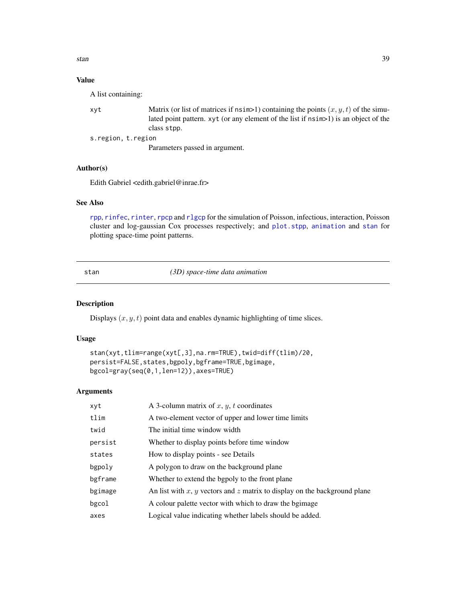<span id="page-38-0"></span>stan 39

### Value

A list containing:

| xvt                | Matrix (or list of matrices if $nsim>1$ ) containing the points $(x, y, t)$ of the simu- |
|--------------------|------------------------------------------------------------------------------------------|
|                    | lated point pattern. xyt (or any element of the list if $nsim>1$ ) is an object of the   |
|                    | class stop.                                                                              |
| s.region, t.region |                                                                                          |
|                    |                                                                                          |

Parameters passed in argument.

### Author(s)

Edith Gabriel <edith.gabriel@inrae.fr>

#### See Also

[rpp](#page-35-1), [rinfec](#page-26-1), [rinter](#page-28-1), [rpcp](#page-33-1) and [rlgcp](#page-30-1) for the simulation of Poisson, infectious, interaction, Poisson cluster and log-gaussian Cox processes respectively; and [plot.stpp](#page-23-1), [animation](#page-1-1) and [stan](#page-38-1) for plotting space-time point patterns.

<span id="page-38-1"></span>stan *(3D) space-time data animation*

#### Description

Displays  $(x, y, t)$  point data and enables dynamic highlighting of time slices.

### Usage

```
stan(xyt,tlim=range(xyt[,3],na.rm=TRUE),twid=diff(tlim)/20,
persist=FALSE, states, bgpoly, bgframe=TRUE, bgimage,
bgcol=gray(seq(0,1,len=12)),axes=TRUE)
```

| xyt     | A 3-column matrix of $x, y, t$ coordinates                                |
|---------|---------------------------------------------------------------------------|
| tlim    | A two-element vector of upper and lower time limits                       |
| twid    | The initial time window width                                             |
| persist | Whether to display points before time window                              |
| states  | How to display points - see Details                                       |
| bgpoly  | A polygon to draw on the background plane                                 |
| bgframe | Whether to extend the bgpoly to the front plane                           |
| bgimage | An list with x, y vectors and z matrix to display on the background plane |
| bgcol   | A colour palette vector with which to draw the bgimage                    |
| axes    | Logical value indicating whether labels should be added.                  |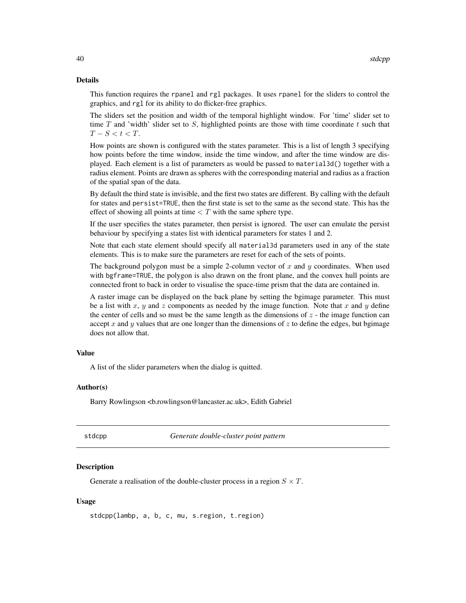#### <span id="page-39-0"></span>Details

This function requires the rpanel and rgl packages. It uses rpanel for the sliders to control the graphics, and rgl for its ability to do flicker-free graphics.

The sliders set the position and width of the temporal highlight window. For 'time' slider set to time T and 'width' slider set to S, highlighted points are those with time coordinate t such that  $T-S < t < T$ .

How points are shown is configured with the states parameter. This is a list of length 3 specifying how points before the time window, inside the time window, and after the time window are displayed. Each element is a list of parameters as would be passed to material3d() together with a radius element. Points are drawn as spheres with the corresponding material and radius as a fraction of the spatial span of the data.

By default the third state is invisible, and the first two states are different. By calling with the default for states and persist=TRUE, then the first state is set to the same as the second state. This has the effect of showing all points at time  $\langle T \rangle$  with the same sphere type.

If the user specifies the states parameter, then persist is ignored. The user can emulate the persist behaviour by specifying a states list with identical parameters for states 1 and 2.

Note that each state element should specify all material3d parameters used in any of the state elements. This is to make sure the parameters are reset for each of the sets of points.

The background polygon must be a simple 2-column vector of x and y coordinates. When used with bgframe=TRUE, the polygon is also drawn on the front plane, and the convex hull points are connected front to back in order to visualise the space-time prism that the data are contained in.

A raster image can be displayed on the back plane by setting the bgimage parameter. This must be a list with x, y and z components as needed by the image function. Note that x and y define the center of cells and so must be the same length as the dimensions of  $z$  - the image function can accept x and y values that are one longer than the dimensions of z to define the edges, but by image does not allow that.

#### Value

A list of the slider parameters when the dialog is quitted.

#### Author(s)

Barry Rowlingson <b.rowlingson@lancaster.ac.uk>, Edith Gabriel

<span id="page-39-1"></span>

| aс | )Ŋ<br>о |
|----|---------|
|    |         |

Generate double-cluster point pattern

#### **Description**

Generate a realisation of the double-cluster process in a region  $S \times T$ .

### Usage

stdcpp(lambp, a, b, c, mu, s.region, t.region)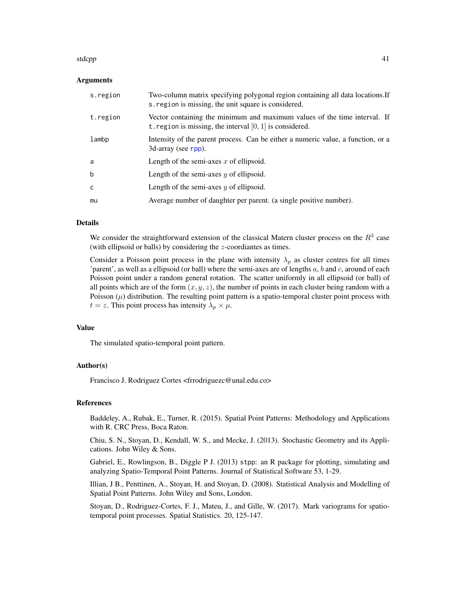#### <span id="page-40-0"></span>stdcpp and the state of the state of the state of the state of the state of the state of the state of the state of the state of the state of the state of the state of the state of the state of the state of the state of the

#### Arguments

| s.region | Two-column matrix specifying polygonal region containing all data locations. If<br>s. region is missing, the unit square is considered. |
|----------|-----------------------------------------------------------------------------------------------------------------------------------------|
| t.region | Vector containing the minimum and maximum values of the time interval. If<br>t. region is missing, the interval $[0, 1]$ is considered. |
| lambp    | Intensity of the parent process. Can be either a numeric value, a function, or a<br>3d-array (see rpp).                                 |
| a        | Length of the semi-axes $x$ of ellipsoid.                                                                                               |
| b        | Length of the semi-axes $y$ of ellipsoid.                                                                                               |
| C        | Length of the semi-axes $y$ of ellipsoid.                                                                                               |
| mu       | Average number of daughter per parent. (a single positive number).                                                                      |

#### Details

We consider the straightforward extension of the classical Matern cluster process on the  $R<sup>3</sup>$  case (with ellipsoid or balls) by considering the z-coordiantes as times.

Consider a Poisson point process in the plane with intensity  $\lambda_p$  as cluster centres for all times 'parent', as well as a ellipsoid (or ball) where the semi-axes are of lengths  $a, b$  and  $c$ , around of each Poisson point under a random general rotation. The scatter uniformly in all ellipsoid (or ball) of all points which are of the form  $(x, y, z)$ , the number of points in each cluster being random with a Poisson  $(\mu)$  distribution. The resulting point pattern is a spatio-temporal cluster point process with  $t = z$ . This point process has intensity  $\lambda_p \times \mu$ .

### Value

The simulated spatio-temporal point pattern.

#### Author(s)

Francisco J. Rodriguez Cortes <frrodriguezc@unal.edu.co>

### References

Baddeley, A., Rubak, E., Turner, R. (2015). Spatial Point Patterns: Methodology and Applications with R. CRC Press, Boca Raton.

Chiu, S. N., Stoyan, D., Kendall, W. S., and Mecke, J. (2013). Stochastic Geometry and its Applications. John Wiley & Sons.

Gabriel, E., Rowlingson, B., Diggle P J. (2013) stpp: an R package for plotting, simulating and analyzing Spatio-Temporal Point Patterns. Journal of Statistical Software 53, 1-29.

Illian, J B., Penttinen, A., Stoyan, H. and Stoyan, D. (2008). Statistical Analysis and Modelling of Spatial Point Patterns. John Wiley and Sons, London.

Stoyan, D., Rodriguez-Cortes, F. J., Mateu, J., and Gille, W. (2017). Mark variograms for spatiotemporal point processes. Spatial Statistics. 20, 125-147.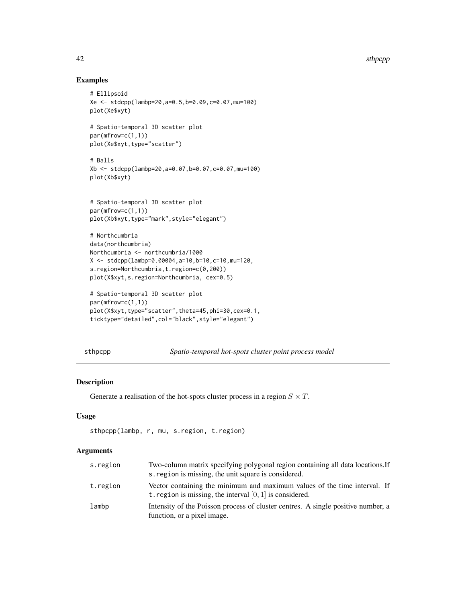### Examples

```
# Ellipsoid
Xe <- stdcpp(lambp=20,a=0.5,b=0.09,c=0.07,mu=100)
plot(Xe$xyt)
# Spatio-temporal 3D scatter plot
par(mfrow=c(1,1))
plot(Xe$xyt,type="scatter")
# Balls
Xb <- stdcpp(lambp=20,a=0.07,b=0.07,c=0.07,mu=100)
plot(Xb$xyt)
# Spatio-temporal 3D scatter plot
par(mfrow=c(1,1))
plot(Xb$xyt,type="mark",style="elegant")
# Northcumbria
data(northcumbria)
Northcumbria <- northcumbria/1000
X <- stdcpp(lambp=0.00004,a=10,b=10,c=10,mu=120,
s.region=Northcumbria,t.region=c(0,200))
plot(X$xyt,s.region=Northcumbria, cex=0.5)
# Spatio-temporal 3D scatter plot
```

```
par(mfrow=c(1,1))
plot(X$xyt,type="scatter",theta=45,phi=30,cex=0.1,
ticktype="detailed",col="black",style="elegant")
```
<span id="page-41-1"></span>sthpcpp *Spatio-temporal hot-spots cluster point process model*

### Description

Generate a realisation of the hot-spots cluster process in a region  $S \times T$ .

#### Usage

```
sthpcpp(lambp, r, mu, s.region, t.region)
```

| s.region | Two-column matrix specifying polygonal region containing all data locations. If<br>s region is missing, the unit square is considered.  |
|----------|-----------------------------------------------------------------------------------------------------------------------------------------|
| t.region | Vector containing the minimum and maximum values of the time interval. If<br>t. region is missing, the interval $[0, 1]$ is considered. |
| lambp    | Intensity of the Poisson process of cluster centres. A single positive number, a<br>function, or a pixel image.                         |

<span id="page-41-0"></span>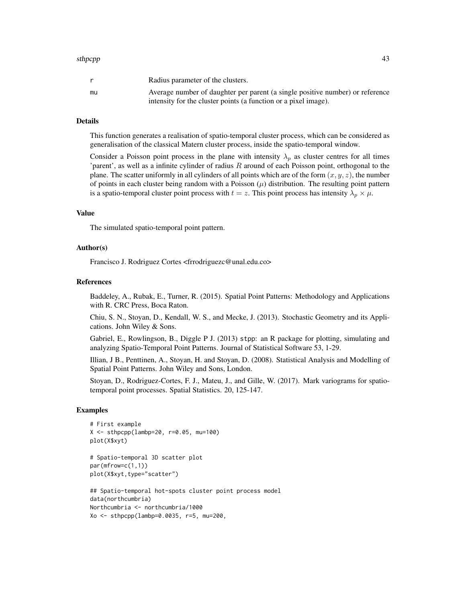#### sthpcpp and the state of the state of the state of the state of the state of the state of the state of the state of the state of the state of the state of the state of the state of the state of the state of the state of th

|    | Radius parameter of the clusters.                                                                                                                |
|----|--------------------------------------------------------------------------------------------------------------------------------------------------|
| mu | Average number of daughter per parent (a single positive number) or reference<br>intensity for the cluster points (a function or a pixel image). |

### Details

This function generates a realisation of spatio-temporal cluster process, which can be considered as generalisation of the classical Matern cluster process, inside the spatio-temporal window.

Consider a Poisson point process in the plane with intensity  $\lambda_p$  as cluster centres for all times 'parent', as well as a infinite cylinder of radius R around of each Poisson point, orthogonal to the plane. The scatter uniformly in all cylinders of all points which are of the form  $(x, y, z)$ , the number of points in each cluster being random with a Poisson  $(\mu)$  distribution. The resulting point pattern is a spatio-temporal cluster point process with  $t = z$ . This point process has intensity  $\lambda_p \times \mu$ .

### Value

The simulated spatio-temporal point pattern.

### Author(s)

Francisco J. Rodriguez Cortes <frrodriguezc@unal.edu.co>

#### References

Baddeley, A., Rubak, E., Turner, R. (2015). Spatial Point Patterns: Methodology and Applications with R. CRC Press, Boca Raton.

Chiu, S. N., Stoyan, D., Kendall, W. S., and Mecke, J. (2013). Stochastic Geometry and its Applications. John Wiley & Sons.

Gabriel, E., Rowlingson, B., Diggle P J. (2013) stpp: an R package for plotting, simulating and analyzing Spatio-Temporal Point Patterns. Journal of Statistical Software 53, 1-29.

Illian, J B., Penttinen, A., Stoyan, H. and Stoyan, D. (2008). Statistical Analysis and Modelling of Spatial Point Patterns. John Wiley and Sons, London.

Stoyan, D., Rodriguez-Cortes, F. J., Mateu, J., and Gille, W. (2017). Mark variograms for spatiotemporal point processes. Spatial Statistics. 20, 125-147.

#### Examples

```
# First example
X \le - sthpcpp(lambp=20, r=0.05, mu=100)
plot(X$xyt)
```

```
# Spatio-temporal 3D scatter plot
par(mfrow=c(1,1))
plot(X$xyt,type="scatter")
```

```
## Spatio-temporal hot-spots cluster point process model
data(northcumbria)
Northcumbria <- northcumbria/1000
Xo <- sthpcpp(lambp=0.0035, r=5, mu=200,
```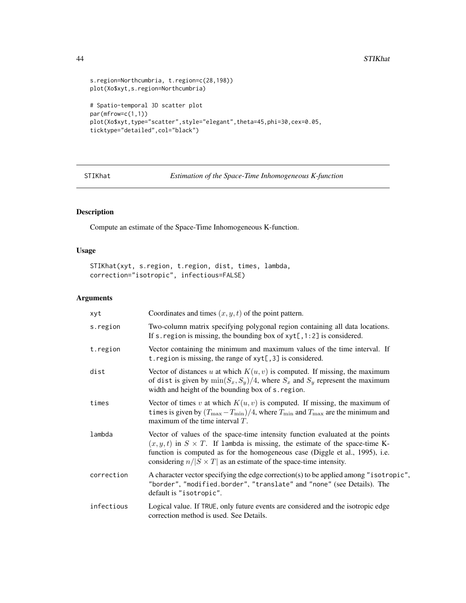```
s.region=Northcumbria, t.region=c(28,198))
plot(Xo$xyt,s.region=Northcumbria)
# Spatio-temporal 3D scatter plot
par(mfrow=c(1,1))
plot(Xo$xyt,type="scatter",style="elegant",theta=45,phi=30,cex=0.05,
ticktype="detailed",col="black")
```
<span id="page-43-1"></span>STIKhat *Estimation of the Space-Time Inhomogeneous K-function*

### Description

Compute an estimate of the Space-Time Inhomogeneous K-function.

### Usage

STIKhat(xyt, s.region, t.region, dist, times, lambda, correction="isotropic", infectious=FALSE)

| xyt        | Coordinates and times $(x, y, t)$ of the point pattern.                                                                                                                                                                                                                                                                            |
|------------|------------------------------------------------------------------------------------------------------------------------------------------------------------------------------------------------------------------------------------------------------------------------------------------------------------------------------------|
| s.region   | Two-column matrix specifying polygonal region containing all data locations.<br>If s. region is missing, the bounding box of $xyt[, 1:2]$ is considered.                                                                                                                                                                           |
| t.region   | Vector containing the minimum and maximum values of the time interval. If<br>t. region is missing, the range of $xyt[, 3]$ is considered.                                                                                                                                                                                          |
| dist       | Vector of distances u at which $K(u, v)$ is computed. If missing, the maximum<br>of dist is given by $\min(S_x, S_y)/4$ , where $S_x$ and $S_y$ represent the maximum<br>width and height of the bounding box of s. region.                                                                                                        |
| times      | Vector of times v at which $K(u, v)$ is computed. If missing, the maximum of<br>times is given by $(T_{\text{max}} - T_{\text{min}})/4$ , where $T_{\text{min}}$ and $T_{\text{max}}$ are the minimum and<br>maximum of the time interval $T$ .                                                                                    |
| lambda     | Vector of values of the space-time intensity function evaluated at the points<br>$(x, y, t)$ in $S \times T$ . If lambda is missing, the estimate of the space-time K-<br>function is computed as for the homogeneous case (Diggle et al., 1995), i.e.<br>considering $n/ S \times T $ as an estimate of the space-time intensity. |
| correction | A character vector specifying the edge correction(s) to be applied among "isotropic",<br>"border", "modified.border", "translate" and "none" (see Details). The<br>default is "isotropic".                                                                                                                                         |
| infectious | Logical value. If TRUE, only future events are considered and the isotropic edge<br>correction method is used. See Details.                                                                                                                                                                                                        |

<span id="page-43-0"></span>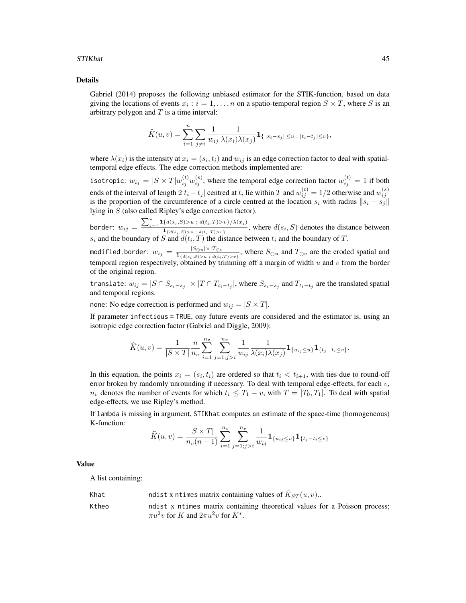#### STIKhat 45

#### Details

Gabriel (2014) proposes the following unbiased estimator for the STIK-function, based on data giving the locations of events  $x_i : i = 1, ..., n$  on a spatio-temporal region  $S \times T$ , where S is an arbitrary polygon and  $T$  is a time interval:

$$
\widehat{K}(u,v) = \sum_{i=1}^{n} \sum_{j \neq i} \frac{1}{w_{ij}} \frac{1}{\lambda(x_i)\lambda(x_j)} \mathbf{1}_{\{\|s_i - s_j\| \le u \; ; \; |t_i - t_j| \le v\}},
$$

where  $\lambda(x_i)$  is the intensity at  $x_i = (s_i, t_i)$  and  $w_{ij}$  is an edge correction factor to deal with spatialtemporal edge effects. The edge correction methods implemented are:

isotropic:  $w_{ij}=|S\times T|w_{ij}^{(t)}w_{ij}^{(s)},$  where the temporal edge correction factor  $w_{ij}^{(t)}=1$  if both ends of the interval of length  $2|t_i - t_j|$  centred at  $t_i$  lie within T and  $w_{ij}^{(t)} = 1/2$  otherwise and  $w_{ij}^{(s)}$ is the proportion of the circumference of a circle centred at the location  $s_i$  with radius  $||s_i - s_j||$ lying in S (also called Ripley's edge correction factor).

border:  $w_{ij} =$  $\sum_{j=1}^{n} \mathbf{1}\{d(s_j, S) \geq u \, ; \, d(t_j, T) \geq v\}/\lambda(x_j)$  $\frac{d(s_i, s) \geq u_j, \forall (s_i, t) > v_j, \forall (s_i, t) > v_j}{d(s_i, s) \geq u_j, \forall (t_i, t) > v_j}$ , where  $d(s_i, S)$  denotes the distance between  $s_i$  and the boundary of S and  $d(t_i, T)$  the distance between  $t_i$  and the boundary of T.

modified.border:  $w_{ij} = \frac{|S_{\ominus u}|\times|T_{\ominus v}|}{1.5C_0\cdot S_0\cdot w_{ij}d\cdot T_{\ominus v}}$  $\frac{|S_{\ominus u}| \times |I_{\ominus v}|}{\prod_{\{d(s_i, S) > u \; : \; d(t_i, T) > v\}}}$ , where  $S_{\ominus u}$  and  $T_{\ominus v}$  are the eroded spatial and temporal region respectively, obtained by trimming off a margin of width  $u$  and  $v$  from the border of the original region.

translate:  $w_{ij} = |S \cap S_{s_i-s_j}| \times |T \cap T_{t_i-t_j}|$ , where  $S_{s_i-s_j}$  and  $T_{t_i-t_j}$  are the translated spatial and temporal regions.

none: No edge correction is performed and  $w_{ij} = |S \times T|$ .

If parameter infectious = TRUE, ony future events are considered and the estimator is, using an isotropic edge correction factor (Gabriel and Diggle, 2009):

$$
\widehat{K}(u,v) = \frac{1}{|S \times T|} \frac{n}{n_v} \sum_{i=1}^{n_v} \sum_{j=1; j>i}^{n_v} \frac{1}{w_{ij}} \frac{1}{\lambda(x_i)\lambda(x_j)} \mathbf{1}_{\{u_{ij} \leq u\}} \mathbf{1}_{\{t_j - t_i \leq v\}}.
$$

In this equation, the points  $x_i = (s_i, t_i)$  are ordered so that  $t_i < t_{i+1}$ , with ties due to round-off error broken by randomly unrounding if necessary. To deal with temporal edge-effects, for each  $v$ ,  $n_v$  denotes the number of events for which  $t_i \leq T_1 - v$ , with  $T = [T_0, T_1]$ . To deal with spatial edge-effects, we use Ripley's method.

If lambda is missing in argument, STIKhat computes an estimate of the space-time (homogeneous) K-function:

$$
\widehat{K}(u,v) = \frac{|S \times T|}{n_v(n-1)} \sum_{i=1}^{n_v} \sum_{j=1; j>i}^{n_v} \frac{1}{w_{ij}} \mathbf{1}_{\{u_{ij} \le u\}} \mathbf{1}_{\{t_j - t_i \le v\}}
$$

#### Value

A list containing:

| Khat  | ndist x ntimes matrix containing values of $\hat{K}_{ST}(u, v)$ .                                                                     |
|-------|---------------------------------------------------------------------------------------------------------------------------------------|
| Ktheo | ndist x ntimes matrix containing theoretical values for a Poisson process;<br>$\pi u^2 v$ for K and $2\pi u^2 v$ for K <sup>*</sup> . |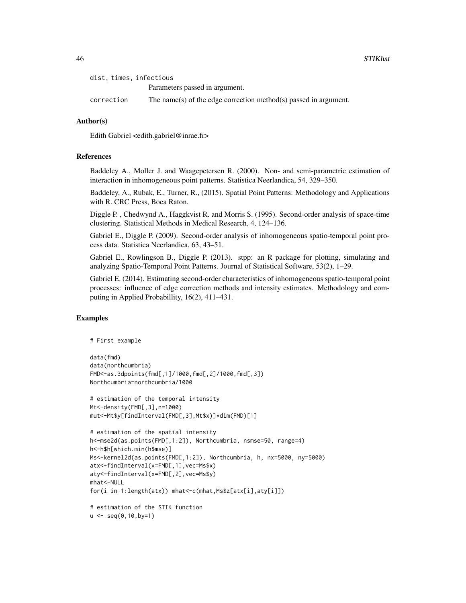| dist, times, infectious |                                                                  |  |
|-------------------------|------------------------------------------------------------------|--|
|                         | Parameters passed in argument.                                   |  |
| correction              | The name(s) of the edge correction method(s) passed in argument. |  |

### Author(s)

Edith Gabriel <edith.gabriel@inrae.fr>

#### References

Baddeley A., Moller J. and Waagepetersen R. (2000). Non- and semi-parametric estimation of interaction in inhomogeneous point patterns. Statistica Neerlandica, 54, 329–350.

Baddeley, A., Rubak, E., Turner, R., (2015). Spatial Point Patterns: Methodology and Applications with R. CRC Press, Boca Raton.

Diggle P. , Chedwynd A., Haggkvist R. and Morris S. (1995). Second-order analysis of space-time clustering. Statistical Methods in Medical Research, 4, 124–136.

Gabriel E., Diggle P. (2009). Second-order analysis of inhomogeneous spatio-temporal point process data. Statistica Neerlandica, 63, 43–51.

Gabriel E., Rowlingson B., Diggle P. (2013). stpp: an R package for plotting, simulating and analyzing Spatio-Temporal Point Patterns. Journal of Statistical Software, 53(2), 1–29.

Gabriel E. (2014). Estimating second-order characteristics of inhomogeneous spatio-temporal point processes: influence of edge correction methods and intensity estimates. Methodology and computing in Applied Probabillity, 16(2), 411–431.

### Examples

```
# First example
```

```
data(fmd)
data(northcumbria)
FMD<-as.3dpoints(fmd[,1]/1000,fmd[,2]/1000,fmd[,3])
Northcumbria=northcumbria/1000
```

```
# estimation of the temporal intensity
Mt<-density(FMD[,3],n=1000)
mut<-Mt$y[findInterval(FMD[,3],Mt$x)]*dim(FMD)[1]
```

```
# estimation of the spatial intensity
h<-mse2d(as.points(FMD[,1:2]), Northcumbria, nsmse=50, range=4)
h<-h$h[which.min(h$mse)]
Ms<-kernel2d(as.points(FMD[,1:2]), Northcumbria, h, nx=5000, ny=5000)
atx<-findInterval(x=FMD[,1],vec=Ms$x)
aty<-findInterval(x=FMD[,2],vec=Ms$y)
mhat<-NULL
for(i in 1:length(atx)) mhat<-c(mhat,Ms$z[atx[i],aty[i]])
# estimation of the STIK function
```

```
u \leq -\text{seq}(0,10,\text{by=1})
```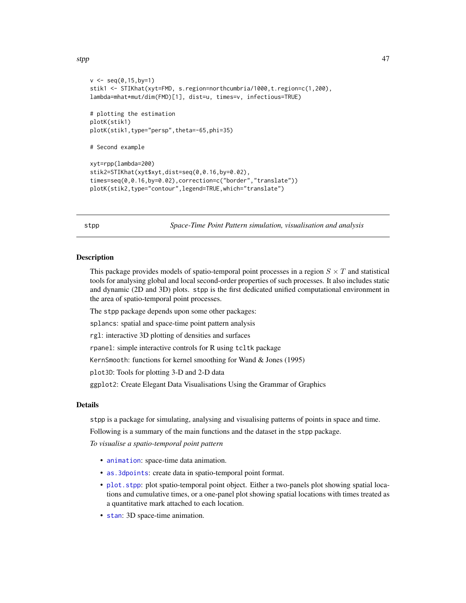```
v \leq -\text{seq}(0, 15, \text{by=1})stik1 <- STIKhat(xyt=FMD, s.region=northcumbria/1000,t.region=c(1,200),
lambda=mhat*mut/dim(FMD)[1], dist=u, times=v, infectious=TRUE)
# plotting the estimation
plotK(stik1)
plotK(stik1,type="persp",theta=-65,phi=35)
# Second example
xyt=rpp(lambda=200)
stik2=STIKhat(xyt$xyt,dist=seq(0,0.16,by=0.02),
times=seq(0,0.16,by=0.02),correction=c("border","translate"))
plotK(stik2,type="contour",legend=TRUE,which="translate")
```
stpp *Space-Time Point Pattern simulation, visualisation and analysis*

#### **Description**

This package provides models of spatio-temporal point processes in a region  $S \times T$  and statistical tools for analysing global and local second-order properties of such processes. It also includes static and dynamic (2D and 3D) plots. stpp is the first dedicated unified computational environment in the area of spatio-temporal point processes.

The stpp package depends upon some other packages:

splancs: spatial and space-time point pattern analysis

rgl: interactive 3D plotting of densities and surfaces

rpanel: simple interactive controls for R using tcltk package

KernSmooth: functions for kernel smoothing for Wand & Jones (1995)

plot3D: Tools for plotting 3-D and 2-D data

ggplot2: Create Elegant Data Visualisations Using the Grammar of Graphics

#### **Details**

stpp is a package for simulating, analysing and visualising patterns of points in space and time.

Following is a summary of the main functions and the dataset in the stpp package.

*To visualise a spatio-temporal point pattern*

- [animation](#page-1-1): space-time data animation.
- [as.3dpoints](#page-2-1): create data in spatio-temporal point format.
- [plot.stpp](#page-23-1): plot spatio-temporal point object. Either a two-panels plot showing spatial locations and cumulative times, or a one-panel plot showing spatial locations with times treated as a quantitative mark attached to each location.
- [stan](#page-38-1): 3D space-time animation.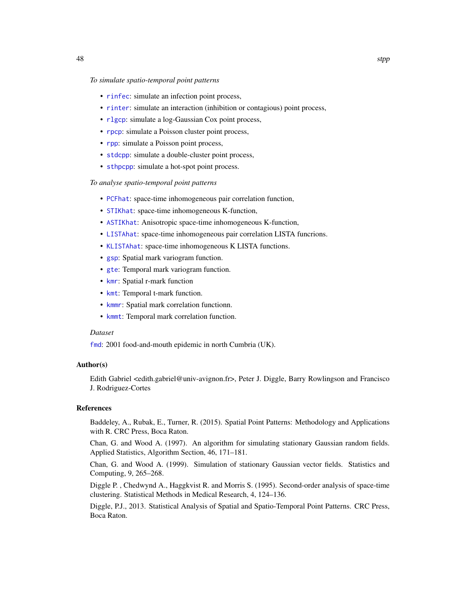### <span id="page-47-0"></span>*To simulate spatio-temporal point patterns*

- [rinfec](#page-26-1): simulate an infection point process,
- [rinter](#page-28-1): simulate an interaction (inhibition or contagious) point process,
- [rlgcp](#page-30-1): simulate a log-Gaussian Cox point process,
- [rpcp](#page-33-1): simulate a Poisson cluster point process,
- [rpp](#page-35-1): simulate a Poisson point process,
- [stdcpp](#page-39-1): simulate a double-cluster point process,
- [sthpcpp](#page-41-1): simulate a hot-spot point process.

#### *To analyse spatio-temporal point patterns*

- [PCFhat](#page-20-2): space-time inhomogeneous pair correlation function,
- [STIKhat](#page-43-1): space-time inhomogeneous K-function,
- [ASTIKhat](#page-3-1): Anisotropic space-time inhomogeneous K-function,
- [LISTAhat](#page-18-1): space-time inhomogeneous pair correlation LISTA funcrions.
- [KLISTAhat](#page-9-1): space-time inhomogeneous K LISTA functions.
- [gsp](#page-5-1): Spatial mark variogram function.
- [gte](#page-6-1): Temporal mark variogram function.
- [kmr](#page-14-1): Spatial r-mark function
- [kmt](#page-16-1): Temporal t-mark function.
- [kmmr](#page-10-1): Spatial mark correlation functionn.
- [kmmt](#page-12-1): Temporal mark correlation function.

#### *Dataset*

[fmd](#page-4-1): 2001 food-and-mouth epidemic in north Cumbria (UK).

#### Author(s)

Edith Gabriel <edith.gabriel@univ-avignon.fr>, Peter J. Diggle, Barry Rowlingson and Francisco J. Rodriguez-Cortes

#### References

Baddeley, A., Rubak, E., Turner, R. (2015). Spatial Point Patterns: Methodology and Applications with R. CRC Press, Boca Raton.

Chan, G. and Wood A. (1997). An algorithm for simulating stationary Gaussian random fields. Applied Statistics, Algorithm Section, 46, 171–181.

Chan, G. and Wood A. (1999). Simulation of stationary Gaussian vector fields. Statistics and Computing, 9, 265–268.

Diggle P. , Chedwynd A., Haggkvist R. and Morris S. (1995). Second-order analysis of space-time clustering. Statistical Methods in Medical Research, 4, 124–136.

Diggle, P.J., 2013. Statistical Analysis of Spatial and Spatio-Temporal Point Patterns. CRC Press, Boca Raton.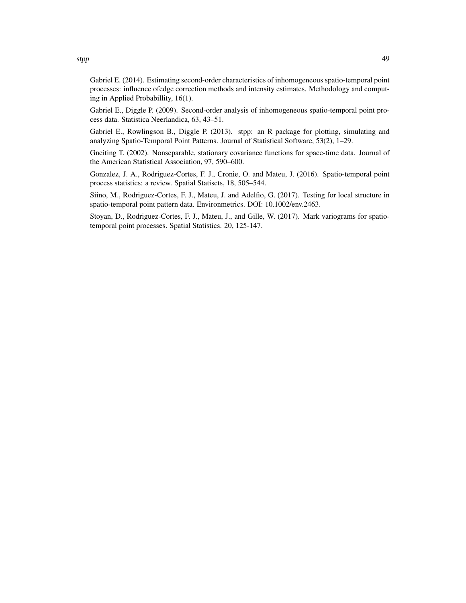Gabriel E. (2014). Estimating second-order characteristics of inhomogeneous spatio-temporal point processes: influence ofedge correction methods and intensity estimates. Methodology and computing in Applied Probabillity, 16(1).

Gabriel E., Diggle P. (2009). Second-order analysis of inhomogeneous spatio-temporal point process data. Statistica Neerlandica, 63, 43–51.

Gabriel E., Rowlingson B., Diggle P. (2013). stpp: an R package for plotting, simulating and analyzing Spatio-Temporal Point Patterns. Journal of Statistical Software, 53(2), 1–29.

Gneiting T. (2002). Nonseparable, stationary covariance functions for space-time data. Journal of the American Statistical Association, 97, 590–600.

Gonzalez, J. A., Rodriguez-Cortes, F. J., Cronie, O. and Mateu, J. (2016). Spatio-temporal point process statistics: a review. Spatial Statiscts, 18, 505–544.

Siino, M., Rodriguez-Cortes, F. J., Mateu, J. and Adelfio, G. (2017). Testing for local structure in spatio-temporal point pattern data. Environmetrics. DOI: 10.1002/env.2463.

Stoyan, D., Rodriguez-Cortes, F. J., Mateu, J., and Gille, W. (2017). Mark variograms for spatiotemporal point processes. Spatial Statistics. 20, 125-147.